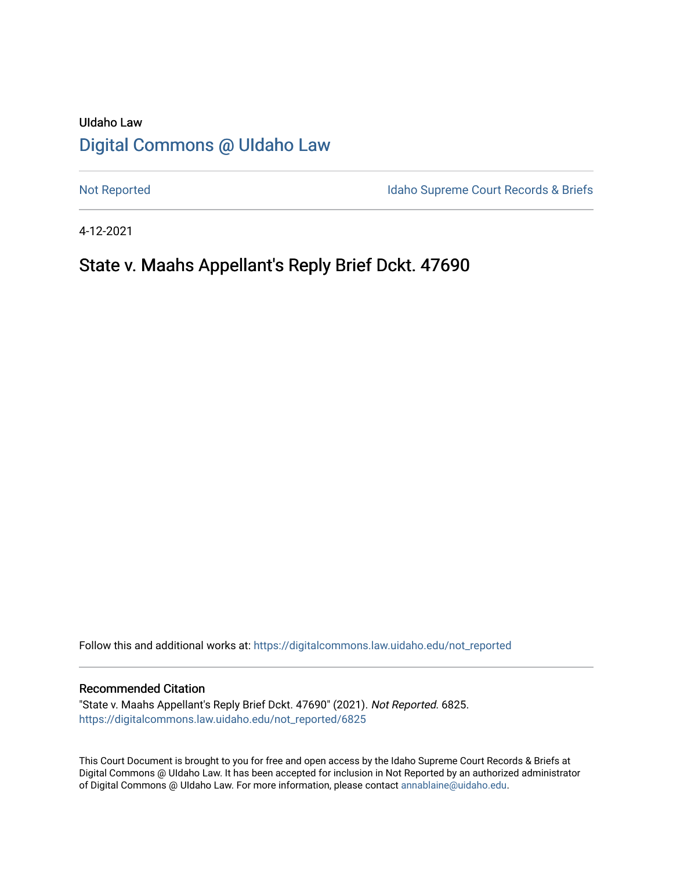# UIdaho Law [Digital Commons @ UIdaho Law](https://digitalcommons.law.uidaho.edu/)

[Not Reported](https://digitalcommons.law.uidaho.edu/not_reported) **Idaho Supreme Court Records & Briefs** 

4-12-2021

# State v. Maahs Appellant's Reply Brief Dckt. 47690

Follow this and additional works at: [https://digitalcommons.law.uidaho.edu/not\\_reported](https://digitalcommons.law.uidaho.edu/not_reported?utm_source=digitalcommons.law.uidaho.edu%2Fnot_reported%2F6825&utm_medium=PDF&utm_campaign=PDFCoverPages) 

#### Recommended Citation

"State v. Maahs Appellant's Reply Brief Dckt. 47690" (2021). Not Reported. 6825. [https://digitalcommons.law.uidaho.edu/not\\_reported/6825](https://digitalcommons.law.uidaho.edu/not_reported/6825?utm_source=digitalcommons.law.uidaho.edu%2Fnot_reported%2F6825&utm_medium=PDF&utm_campaign=PDFCoverPages)

This Court Document is brought to you for free and open access by the Idaho Supreme Court Records & Briefs at Digital Commons @ UIdaho Law. It has been accepted for inclusion in Not Reported by an authorized administrator of Digital Commons @ UIdaho Law. For more information, please contact [annablaine@uidaho.edu](mailto:annablaine@uidaho.edu).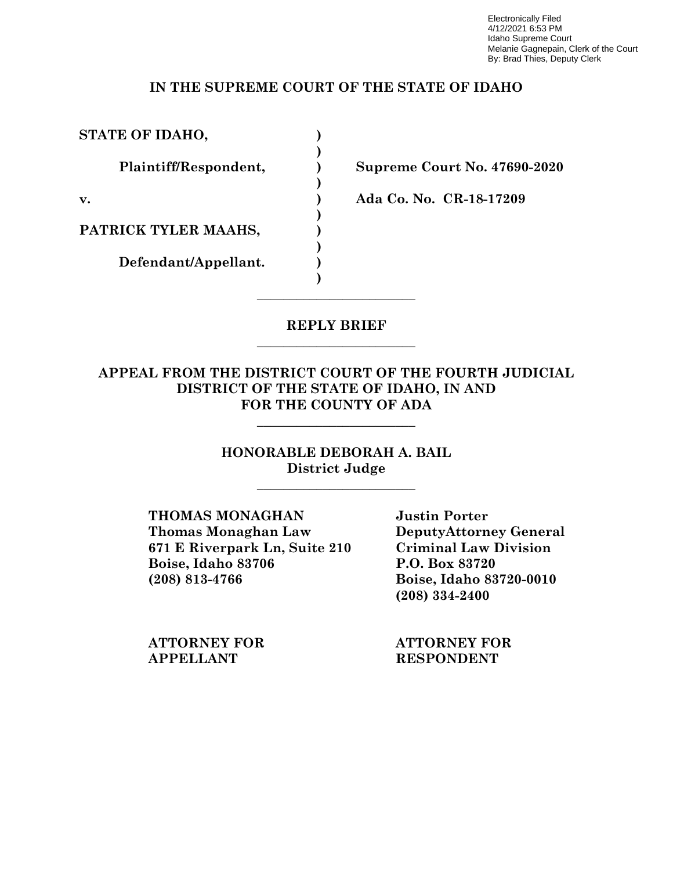Electronically Filed 4/12/2021 6:53 PM Idaho Supreme Court Melanie Gagnepain, Clerk of the Court By: Brad Thies, Deputy Clerk

#### **IN THE SUPREME COURT OF THE STATE OF IDAHO**

STATE OF IDAHO,

 **)** 

 **)** 

 **)** 

 **)** 

**)** 

PATRICK TYLER MAAHS,

**Defendant/Appellant. )** 

**Plaintiff/Respondent, ) Supreme Court No. 47690-2020**

**v. ) Ada Co. No. CR-18-17209**

#### **REPLY BRIEF**  $\overline{\phantom{a}}$  , where  $\overline{\phantom{a}}$  , where  $\overline{\phantom{a}}$  , where  $\overline{\phantom{a}}$

 $\overline{\phantom{a}}$  , where  $\overline{\phantom{a}}$  , where  $\overline{\phantom{a}}$  , where  $\overline{\phantom{a}}$ 

### **APPEAL FROM THE DISTRICT COURT OF THE FOURTH JUDICIAL DISTRICT OF THE STATE OF IDAHO, IN AND FOR THE COUNTY OF ADA**

 $\overline{\phantom{a}}$  , where  $\overline{\phantom{a}}$  , where  $\overline{\phantom{a}}$  , where  $\overline{\phantom{a}}$ 

#### **HONORABLE DEBORAH A. BAIL District Judge**

 $\overline{\phantom{a}}$  , where  $\overline{\phantom{a}}$  , where  $\overline{\phantom{a}}$  , where  $\overline{\phantom{a}}$ 

**THOMAS MONAGHAN Justin Porter Thomas Monaghan Law DeputyAttorney General 671 E Riverpark Ln, Suite 210 Criminal Law Division Boise, Idaho 83706 P.O. Box 83720 (208) 813-4766 Boise, Idaho 83720-0010**

 **(208) 334-2400**

**ATTORNEY FOR ATTORNEY FOR APPELLANT RESPONDENT**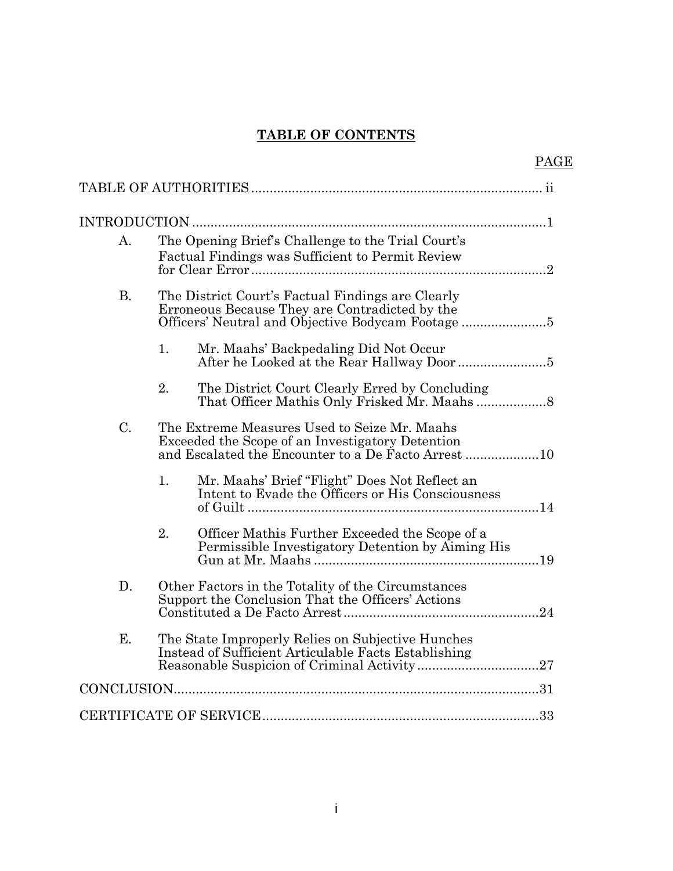## **TABLE OF CONTENTS**

|                |                                                                                                                      | PAGE |
|----------------|----------------------------------------------------------------------------------------------------------------------|------|
|                |                                                                                                                      |      |
|                |                                                                                                                      |      |
| A <sub>1</sub> | The Opening Brief's Challenge to the Trial Court's<br>Factual Findings was Sufficient to Permit Review               |      |
| <b>B.</b>      | The District Court's Factual Findings are Clearly<br>Erroneous Because They are Contradicted by the                  |      |
|                | 1.<br>Mr. Maahs' Backpedaling Did Not Occur                                                                          |      |
|                | 2.<br>The District Court Clearly Erred by Concluding                                                                 |      |
| C.             | The Extreme Measures Used to Seize Mr. Maahs<br>Exceeded the Scope of an Investigatory Detention                     |      |
|                | 1 <sub>1</sub><br>Mr. Maahs' Brief "Flight" Does Not Reflect an<br>Intent to Evade the Officers or His Consciousness |      |
|                | 2.<br>Officer Mathis Further Exceeded the Scope of a<br>Permissible Investigatory Detention by Aiming His            |      |
| D.             | Other Factors in the Totality of the Circumstances<br>Support the Conclusion That the Officers' Actions              |      |
| E.             | The State Improperly Relies on Subjective Hunches<br>Instead of Sufficient Articulable Facts Establishing            |      |
|                |                                                                                                                      |      |
|                |                                                                                                                      |      |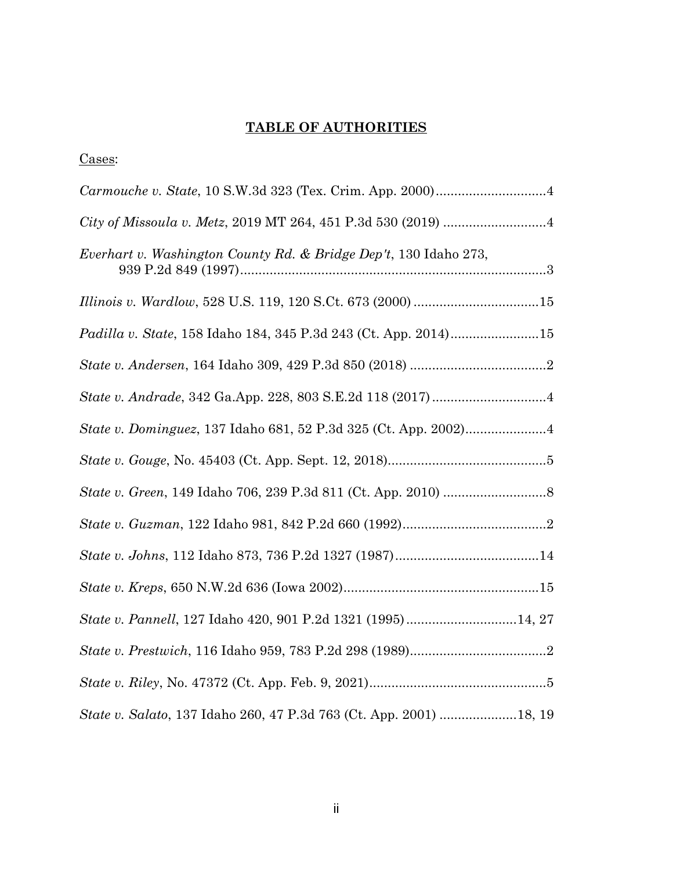### **TABLE OF AUTHORITIES**

|--|

| Everhart v. Washington County Rd. & Bridge Dep't, 130 Idaho 273,   |
|--------------------------------------------------------------------|
|                                                                    |
| Padilla v. State, 158 Idaho 184, 345 P.3d 243 (Ct. App. 2014)15    |
|                                                                    |
|                                                                    |
|                                                                    |
|                                                                    |
|                                                                    |
|                                                                    |
|                                                                    |
|                                                                    |
| State v. Pannell, 127 Idaho 420, 901 P.2d 1321 (1995)14, 27        |
|                                                                    |
|                                                                    |
| State v. Salato, 137 Idaho 260, 47 P.3d 763 (Ct. App. 2001) 18, 19 |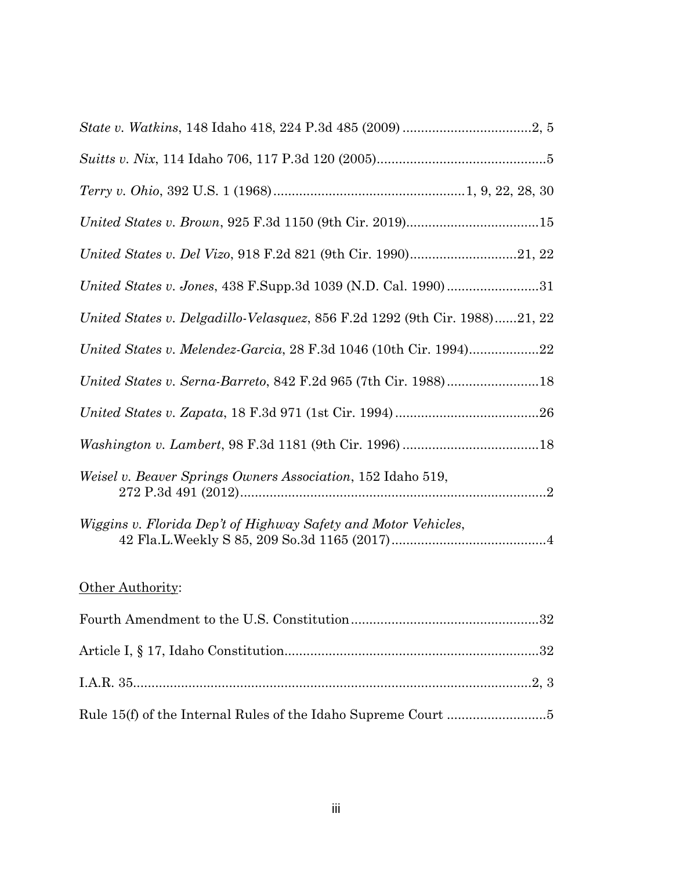| United States v. Jones, 438 F.Supp.3d 1039 (N.D. Cal. 1990)31              |
|----------------------------------------------------------------------------|
| United States v. Delgadillo-Velasquez, 856 F.2d 1292 (9th Cir. 1988)21, 22 |
| United States v. Melendez-Garcia, 28 F.3d 1046 (10th Cir. 1994)22          |
|                                                                            |
|                                                                            |
|                                                                            |
| Weisel v. Beaver Springs Owners Association, 152 Idaho 519,                |
| Wiggins v. Florida Dep't of Highway Safety and Motor Vehicles,             |
|                                                                            |

# Other Authority: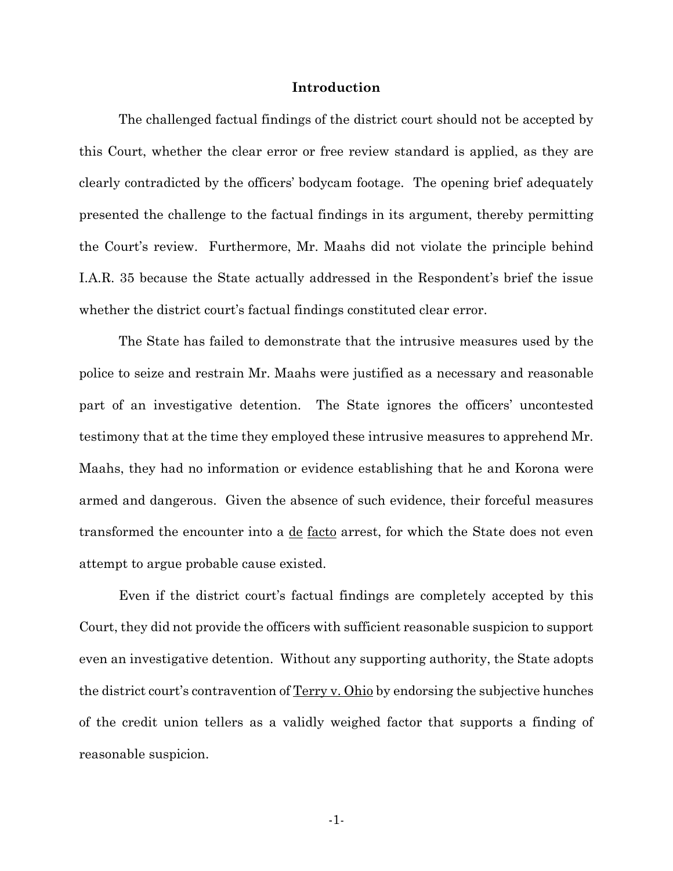#### **Introduction**

The challenged factual findings of the district court should not be accepted by this Court, whether the clear error or free review standard is applied, as they are clearly contradicted by the officers' bodycam footage. The opening brief adequately presented the challenge to the factual findings in its argument, thereby permitting the Court's review. Furthermore, Mr. Maahs did not violate the principle behind I.A.R. 35 because the State actually addressed in the Respondent's brief the issue whether the district court's factual findings constituted clear error.

The State has failed to demonstrate that the intrusive measures used by the police to seize and restrain Mr. Maahs were justified as a necessary and reasonable part of an investigative detention. The State ignores the officers' uncontested testimony that at the time they employed these intrusive measures to apprehend Mr. Maahs, they had no information or evidence establishing that he and Korona were armed and dangerous. Given the absence of such evidence, their forceful measures transformed the encounter into a de facto arrest, for which the State does not even attempt to argue probable cause existed.

Even if the district court's factual findings are completely accepted by this Court, they did not provide the officers with sufficient reasonable suspicion to support even an investigative detention. Without any supporting authority, the State adopts the district court's contravention of Terry v. Ohio by endorsing the subjective hunches of the credit union tellers as a validly weighed factor that supports a finding of reasonable suspicion.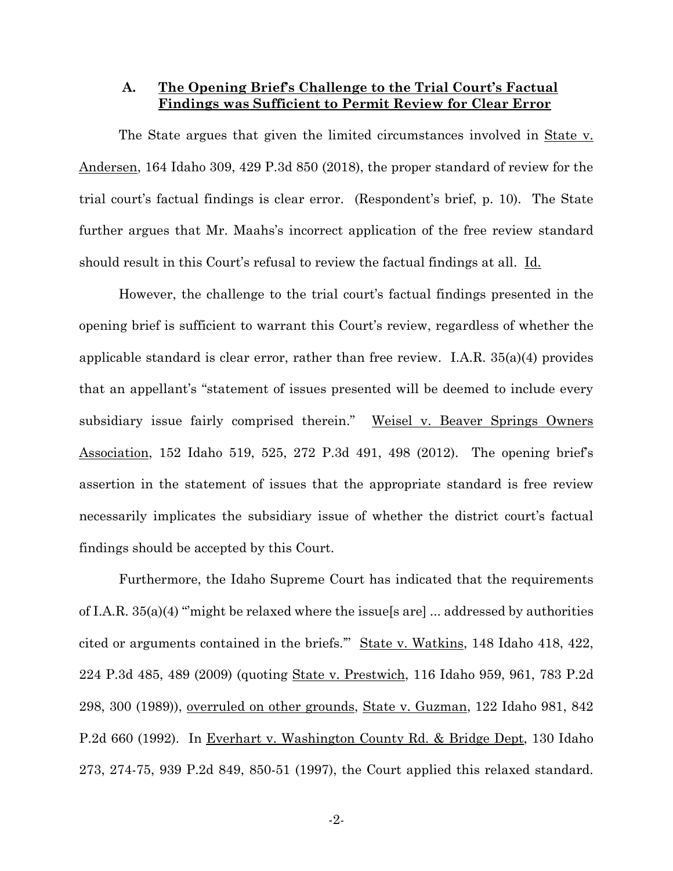#### **A. The Opening Brief's Challenge to the Trial Court's Factual Findings was Sufficient to Permit Review for Clear Error**

The State argues that given the limited circumstances involved in State v. Andersen, 164 Idaho 309, 429 P.3d 850 (2018), the proper standard of review for the trial court's factual findings is clear error. (Respondent's brief, p. 10). The State further argues that Mr. Maahs's incorrect application of the free review standard should result in this Court's refusal to review the factual findings at all. Id.

 However, the challenge to the trial court's factual findings presented in the opening brief is sufficient to warrant this Court's review, regardless of whether the applicable standard is clear error, rather than free review. I.A.R. 35(a)(4) provides that an appellant's "statement of issues presented will be deemed to include every subsidiary issue fairly comprised therein." Weisel v. Beaver Springs Owners Association, 152 Idaho 519, 525, 272 P.3d 491, 498 (2012). The opening brief's assertion in the statement of issues that the appropriate standard is free review necessarily implicates the subsidiary issue of whether the district court's factual findings should be accepted by this Court.

Furthermore, the Idaho Supreme Court has indicated that the requirements of I.A.R.  $35(a)(4)$  "might be relaxed where the issue s are  $\lfloor$  ... addressed by authorities cited or arguments contained in the briefs.'" State v. Watkins, 148 Idaho 418, 422, 224 P.3d 485, 489 (2009) (quoting State v. Prestwich, 116 Idaho 959, 961, 783 P.2d 298, 300 (1989)), overruled on other grounds, State v. Guzman, 122 Idaho 981, 842 P.2d 660 (1992). In Everhart v. Washington County Rd. & Bridge Dept, 130 Idaho 273, 274-75, 939 P.2d 849, 850-51 (1997), the Court applied this relaxed standard.

-2-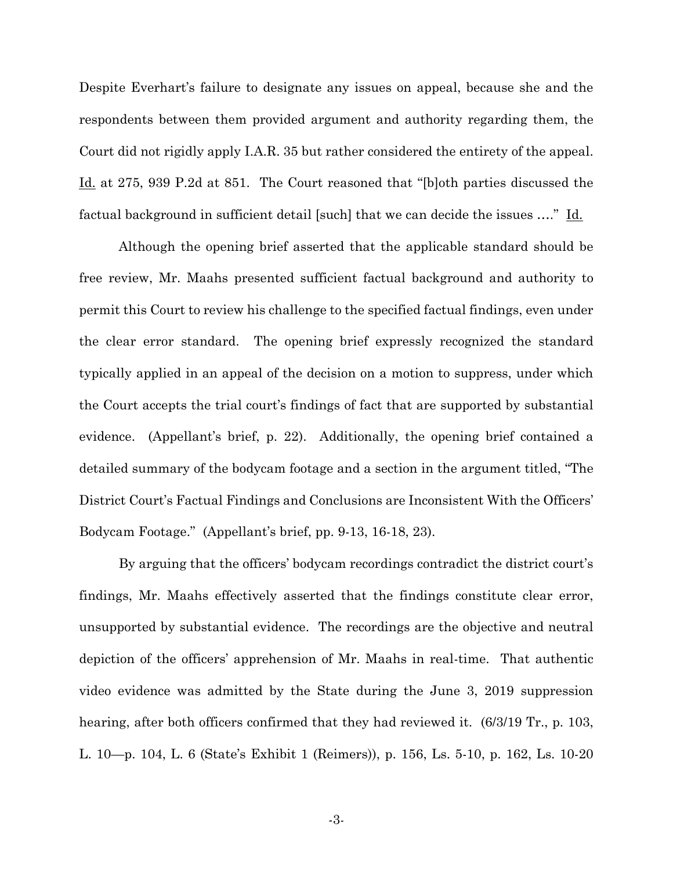Despite Everhart's failure to designate any issues on appeal, because she and the respondents between them provided argument and authority regarding them, the Court did not rigidly apply I.A.R. 35 but rather considered the entirety of the appeal. Id. at 275, 939 P.2d at 851. The Court reasoned that "[b]oth parties discussed the factual background in sufficient detail [such] that we can decide the issues ...." Id.

Although the opening brief asserted that the applicable standard should be free review, Mr. Maahs presented sufficient factual background and authority to permit this Court to review his challenge to the specified factual findings, even under the clear error standard. The opening brief expressly recognized the standard typically applied in an appeal of the decision on a motion to suppress, under which the Court accepts the trial court's findings of fact that are supported by substantial evidence. (Appellant's brief, p. 22). Additionally, the opening brief contained a detailed summary of the bodycam footage and a section in the argument titled, "The District Court's Factual Findings and Conclusions are Inconsistent With the Officers' Bodycam Footage." (Appellant's brief, pp. 9-13, 16-18, 23).

By arguing that the officers' bodycam recordings contradict the district court's findings, Mr. Maahs effectively asserted that the findings constitute clear error, unsupported by substantial evidence. The recordings are the objective and neutral depiction of the officers' apprehension of Mr. Maahs in real-time. That authentic video evidence was admitted by the State during the June 3, 2019 suppression hearing, after both officers confirmed that they had reviewed it.  $(6/3/19 \text{ Tr}., p. 103,$ L. 10—p. 104, L. 6 (State's Exhibit 1 (Reimers)), p. 156, Ls. 5-10, p. 162, Ls. 10-20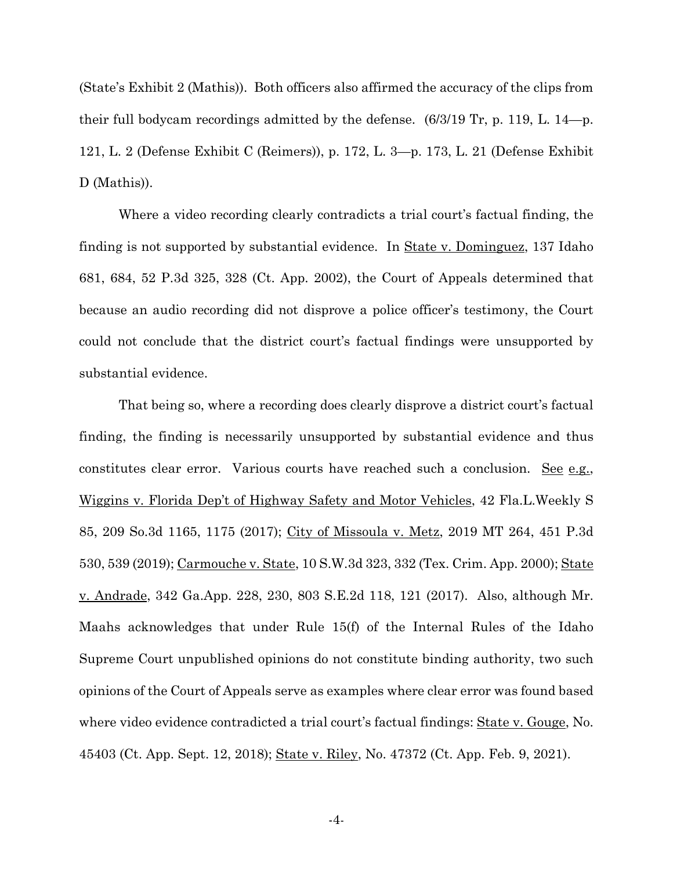(State's Exhibit 2 (Mathis)). Both officers also affirmed the accuracy of the clips from their full bodycam recordings admitted by the defense. (6/3/19 Tr, p. 119, L. 14—p. 121, L. 2 (Defense Exhibit C (Reimers)), p. 172, L. 3—p. 173, L. 21 (Defense Exhibit D (Mathis)).

Where a video recording clearly contradicts a trial court's factual finding, the finding is not supported by substantial evidence. In <u>State v. Dominguez</u>, 137 Idaho 681, 684, 52 P.3d 325, 328 (Ct. App. 2002), the Court of Appeals determined that because an audio recording did not disprove a police officer's testimony, the Court could not conclude that the district court's factual findings were unsupported by substantial evidence.

That being so, where a recording does clearly disprove a district court's factual finding, the finding is necessarily unsupported by substantial evidence and thus constitutes clear error. Various courts have reached such a conclusion. See e.g., Wiggins v. Florida Dep't of Highway Safety and Motor Vehicles, 42 Fla.L.Weekly S 85, 209 So.3d 1165, 1175 (2017); City of Missoula v. Metz, 2019 MT 264, 451 P.3d 530, 539 (2019); Carmouche v. State, 10 S.W.3d 323, 332 (Tex. Crim. App. 2000); State v. Andrade, 342 Ga.App. 228, 230, 803 S.E.2d 118, 121 (2017). Also, although Mr. Maahs acknowledges that under Rule 15(f) of the Internal Rules of the Idaho Supreme Court unpublished opinions do not constitute binding authority, two such opinions of the Court of Appeals serve as examples where clear error was found based where video evidence contradicted a trial court's factual findings: State v. Gouge, No. 45403 (Ct. App. Sept. 12, 2018); State v. Riley, No. 47372 (Ct. App. Feb. 9, 2021).

-4-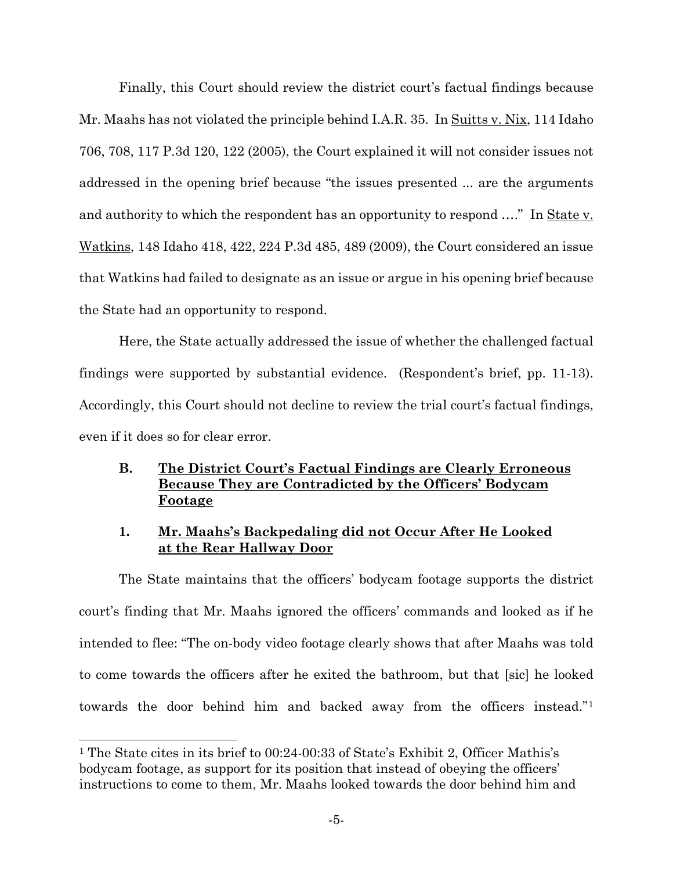Finally, this Court should review the district court's factual findings because Mr. Maahs has not violated the principle behind I.A.R. 35. In Suitts v. Nix, 114 Idaho 706, 708, 117 P.3d 120, 122 (2005), the Court explained it will not consider issues not addressed in the opening brief because "the issues presented ... are the arguments and authority to which the respondent has an opportunity to respond …." In State v. Watkins, 148 Idaho 418, 422, 224 P.3d 485, 489 (2009), the Court considered an issue that Watkins had failed to designate as an issue or argue in his opening brief because the State had an opportunity to respond.

Here, the State actually addressed the issue of whether the challenged factual findings were supported by substantial evidence. (Respondent's brief, pp. 11-13). Accordingly, this Court should not decline to review the trial court's factual findings, even if it does so for clear error.

### **B. The District Court's Factual Findings are Clearly Erroneous Because They are Contradicted by the Officers' Bodycam Footage**

### **1. Mr. Maahs's Backpedaling did not Occur After He Looked at the Rear Hallway Door**

The State maintains that the officers' bodycam footage supports the district court's finding that Mr. Maahs ignored the officers' commands and looked as if he intended to flee: "The on-body video footage clearly shows that after Maahs was told to come towards the officers after he exited the bathroom, but that [sic] he looked towards the door behind him and backed away from the officers instead."[1](#page-9-0)

<span id="page-9-0"></span><sup>1</sup> The State cites in its brief to 00:24-00:33 of State's Exhibit 2, Officer Mathis's bodycam footage, as support for its position that instead of obeying the officers' instructions to come to them, Mr. Maahs looked towards the door behind him and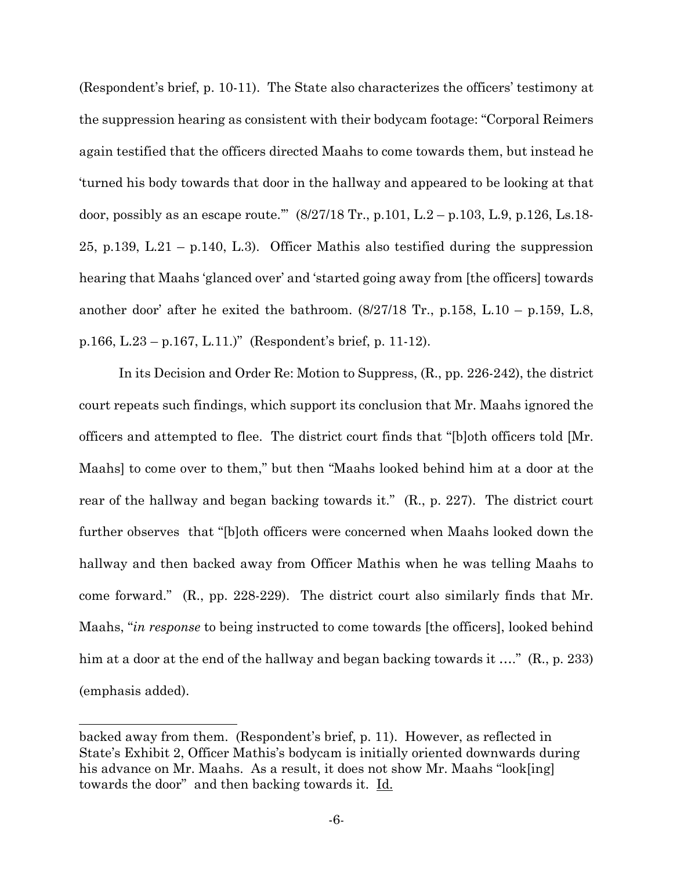(Respondent's brief, p. 10-11). The State also characterizes the officers' testimony at the suppression hearing as consistent with their bodycam footage: "Corporal Reimers again testified that the officers directed Maahs to come towards them, but instead he 'turned his body towards that door in the hallway and appeared to be looking at that door, possibly as an escape route.'" (8/27/18 Tr., p.101, L.2 – p.103, L.9, p.126, Ls.18- 25, p.139, L.21 – p.140, L.3). Officer Mathis also testified during the suppression hearing that Maahs 'glanced over' and 'started going away from [the officers] towards another door' after he exited the bathroom.  $(8/27/18 \text{ Tr}$ , p.158, L.10 – p.159, L.8, p.166, L.23 – p.167, L.11.)" (Respondent's brief, p. 11-12).

 In its Decision and Order Re: Motion to Suppress, (R., pp. 226-242), the district court repeats such findings, which support its conclusion that Mr. Maahs ignored the officers and attempted to flee. The district court finds that "[b]oth officers told [Mr. Maahs] to come over to them," but then "Maahs looked behind him at a door at the rear of the hallway and began backing towards it." (R., p. 227). The district court further observes that "[b]oth officers were concerned when Maahs looked down the hallway and then backed away from Officer Mathis when he was telling Maahs to come forward." (R., pp. 228-229). The district court also similarly finds that Mr. Maahs, "*in response* to being instructed to come towards [the officers], looked behind him at a door at the end of the hallway and began backing towards it …." (R., p. 233) (emphasis added).

backed away from them. (Respondent's brief, p. 11). However, as reflected in State's Exhibit 2, Officer Mathis's bodycam is initially oriented downwards during his advance on Mr. Maahs. As a result, it does not show Mr. Maahs "look[ing] towards the door" and then backing towards it. Id.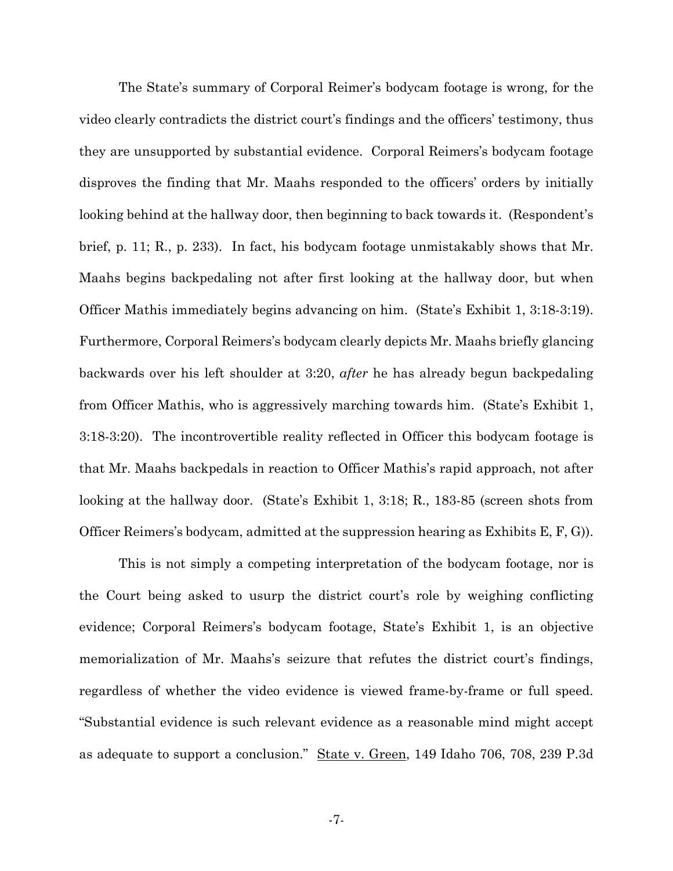The State's summary of Corporal Reimer's bodycam footage is wrong, for the video clearly contradicts the district court's findings and the officers' testimony, thus they are unsupported by substantial evidence. Corporal Reimers's bodycam footage disproves the finding that Mr. Maahs responded to the officers' orders by initially looking behind at the hallway door, then beginning to back towards it. (Respondent's brief, p. 11; R., p. 233). In fact, his bodycam footage unmistakably shows that Mr. Maahs begins backpedaling not after first looking at the hallway door, but when Officer Mathis immediately begins advancing on him. (State's Exhibit 1, 3:18-3:19). Furthermore, Corporal Reimers's bodycam clearly depicts Mr. Maahs briefly glancing backwards over his left shoulder at 3:20, *after* he has already begun backpedaling from Officer Mathis, who is aggressively marching towards him. (State's Exhibit 1, 3:18-3:20). The incontrovertible reality reflected in Officer this bodycam footage is that Mr. Maahs backpedals in reaction to Officer Mathis's rapid approach, not after looking at the hallway door. (State's Exhibit 1, 3:18; R., 183-85 (screen shots from Officer Reimers's bodycam, admitted at the suppression hearing as Exhibits E, F, G)).

This is not simply a competing interpretation of the bodycam footage, nor is the Court being asked to usurp the district court's role by weighing conflicting evidence; Corporal Reimers's bodycam footage, State's Exhibit 1, is an objective memorialization of Mr. Maahs's seizure that refutes the district court's findings, regardless of whether the video evidence is viewed frame-by-frame or full speed. "Substantial evidence is such relevant evidence as a reasonable mind might accept as adequate to support a conclusion." State v. Green, 149 Idaho 706, 708, 239 P.3d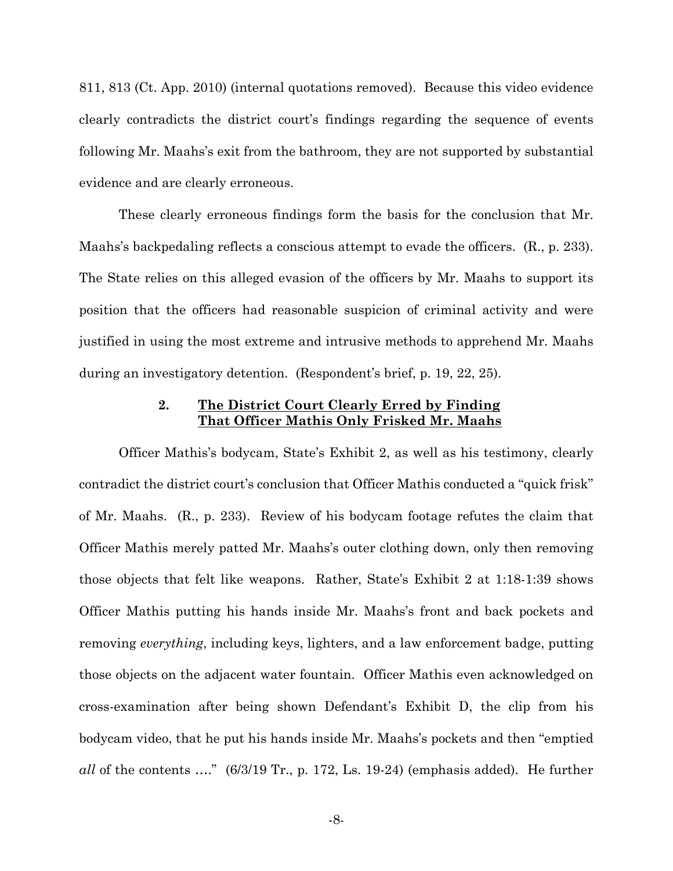811, 813 (Ct. App. 2010) (internal quotations removed). Because this video evidence clearly contradicts the district court's findings regarding the sequence of events following Mr. Maahs's exit from the bathroom, they are not supported by substantial evidence and are clearly erroneous.

These clearly erroneous findings form the basis for the conclusion that Mr. Maahs's backpedaling reflects a conscious attempt to evade the officers. (R., p. 233). The State relies on this alleged evasion of the officers by Mr. Maahs to support its position that the officers had reasonable suspicion of criminal activity and were justified in using the most extreme and intrusive methods to apprehend Mr. Maahs during an investigatory detention. (Respondent's brief, p. 19, 22, 25).

#### **2. The District Court Clearly Erred by Finding That Officer Mathis Only Frisked Mr. Maahs**

Officer Mathis's bodycam, State's Exhibit 2, as well as his testimony, clearly contradict the district court's conclusion that Officer Mathis conducted a "quick frisk" of Mr. Maahs. (R., p. 233). Review of his bodycam footage refutes the claim that Officer Mathis merely patted Mr. Maahs's outer clothing down, only then removing those objects that felt like weapons. Rather, State's Exhibit 2 at 1:18-1:39 shows Officer Mathis putting his hands inside Mr. Maahs's front and back pockets and removing *everything*, including keys, lighters, and a law enforcement badge, putting those objects on the adjacent water fountain. Officer Mathis even acknowledged on cross-examination after being shown Defendant's Exhibit D, the clip from his bodycam video, that he put his hands inside Mr. Maahs's pockets and then "emptied *all* of the contents …." (6/3/19 Tr., p. 172, Ls. 19-24) (emphasis added). He further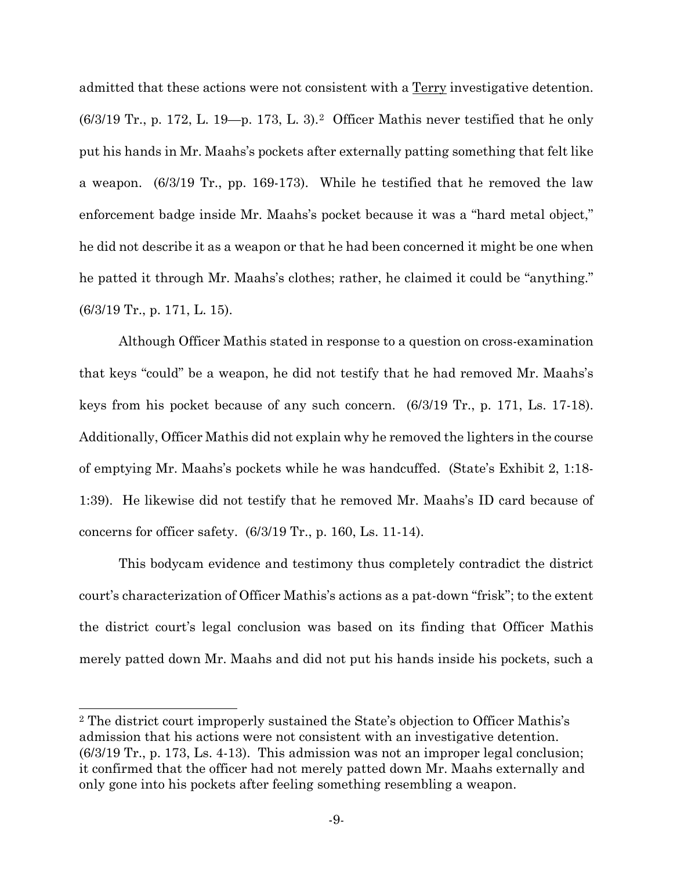admitted that these actions were not consistent with a Terry investigative detention.  $(6/3/19$  Tr., p. 172, L. 19-p. 173, L. 3).<sup>2</sup> Officer Mathis never testified that he only put his hands in Mr. Maahs's pockets after externally patting something that felt like a weapon. (6/3/19 Tr., pp. 169-173). While he testified that he removed the law enforcement badge inside Mr. Maahs's pocket because it was a "hard metal object," he did not describe it as a weapon or that he had been concerned it might be one when he patted it through Mr. Maahs's clothes; rather, he claimed it could be "anything." (6/3/19 Tr., p. 171, L. 15).

Although Officer Mathis stated in response to a question on cross-examination that keys "could" be a weapon, he did not testify that he had removed Mr. Maahs's keys from his pocket because of any such concern. (6/3/19 Tr., p. 171, Ls. 17-18). Additionally, Officer Mathis did not explain why he removed the lighters in the course of emptying Mr. Maahs's pockets while he was handcuffed. (State's Exhibit 2, 1:18- 1:39). He likewise did not testify that he removed Mr. Maahs's ID card because of concerns for officer safety. (6/3/19 Tr., p. 160, Ls. 11-14).

This bodycam evidence and testimony thus completely contradict the district court's characterization of Officer Mathis's actions as a pat-down "frisk"; to the extent the district court's legal conclusion was based on its finding that Officer Mathis merely patted down Mr. Maahs and did not put his hands inside his pockets, such a

<span id="page-13-0"></span><sup>2</sup> The district court improperly sustained the State's objection to Officer Mathis's admission that his actions were not consistent with an investigative detention. (6/3/19 Tr., p. 173, Ls. 4-13). This admission was not an improper legal conclusion; it confirmed that the officer had not merely patted down Mr. Maahs externally and only gone into his pockets after feeling something resembling a weapon.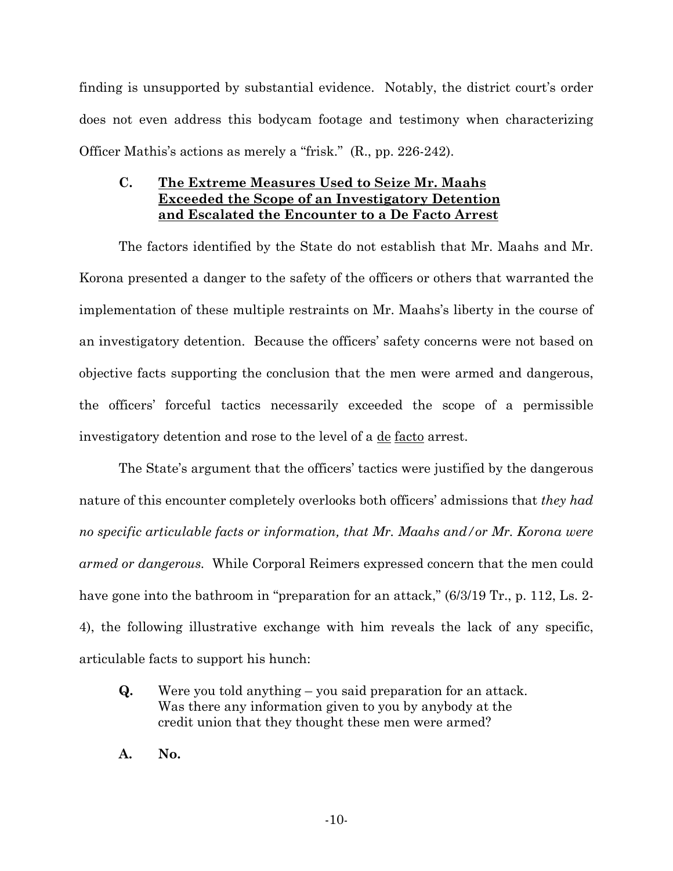finding is unsupported by substantial evidence. Notably, the district court's order does not even address this bodycam footage and testimony when characterizing Officer Mathis's actions as merely a "frisk." (R., pp. 226-242).

### **C. The Extreme Measures Used to Seize Mr. Maahs Exceeded the Scope of an Investigatory Detention and Escalated the Encounter to a De Facto Arrest**

The factors identified by the State do not establish that Mr. Maahs and Mr. Korona presented a danger to the safety of the officers or others that warranted the implementation of these multiple restraints on Mr. Maahs's liberty in the course of an investigatory detention. Because the officers' safety concerns were not based on objective facts supporting the conclusion that the men were armed and dangerous, the officers' forceful tactics necessarily exceeded the scope of a permissible investigatory detention and rose to the level of a de facto arrest.

The State's argument that the officers' tactics were justified by the dangerous nature of this encounter completely overlooks both officers' admissions that *they had no specific articulable facts or information, that Mr. Maahs and/or Mr. Korona were armed or dangerous.* While Corporal Reimers expressed concern that the men could have gone into the bathroom in "preparation for an attack,"  $(6/3/19 \text{ Tr.}, p. 112, \text{ Ls. } 2-$ 4), the following illustrative exchange with him reveals the lack of any specific, articulable facts to support his hunch:

- **Q.** Were you told anything you said preparation for an attack. Was there any information given to you by anybody at the credit union that they thought these men were armed?
- **A. No.**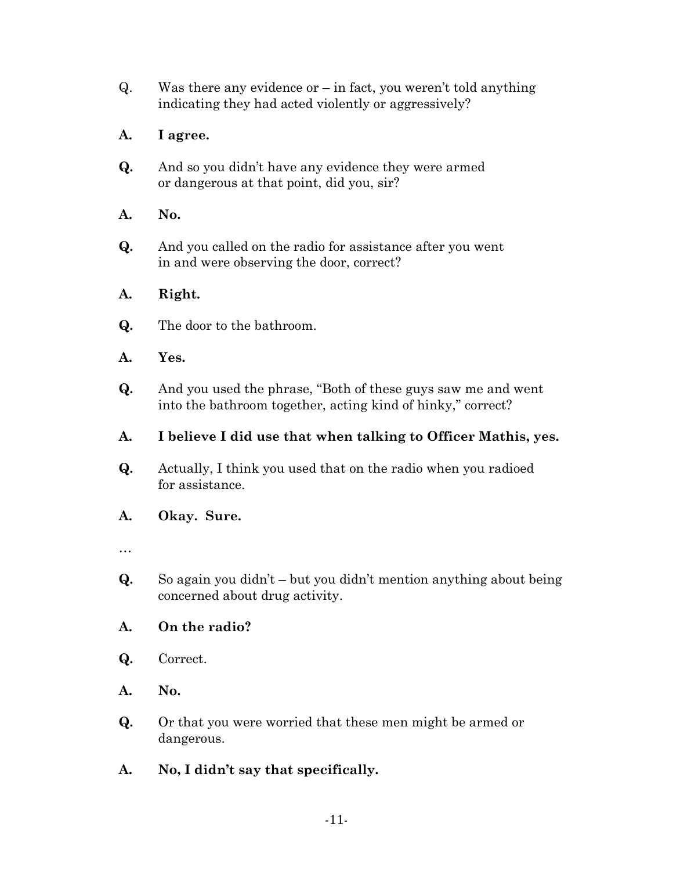$Q.$  Was there any evidence or – in fact, you weren't told anything indicating they had acted violently or aggressively?

## **A. I agree.**

- **Q.** And so you didn't have any evidence they were armed or dangerous at that point, did you, sir?
- **A. No.**
- **Q.** And you called on the radio for assistance after you went in and were observing the door, correct?

### **A. Right.**

- **Q.** The door to the bathroom.
- **A. Yes.**
- **Q.** And you used the phrase, "Both of these guys saw me and went into the bathroom together, acting kind of hinky," correct?

### **A. I believe I did use that when talking to Officer Mathis, yes.**

**Q.** Actually, I think you used that on the radio when you radioed for assistance.

### **A. Okay. Sure.**

- …
- **Q.** So again you didn't but you didn't mention anything about being concerned about drug activity.

### **A. On the radio?**

- **Q.** Correct.
- **A. No.**
- **Q.** Or that you were worried that these men might be armed or dangerous.
- **A. No, I didn't say that specifically.**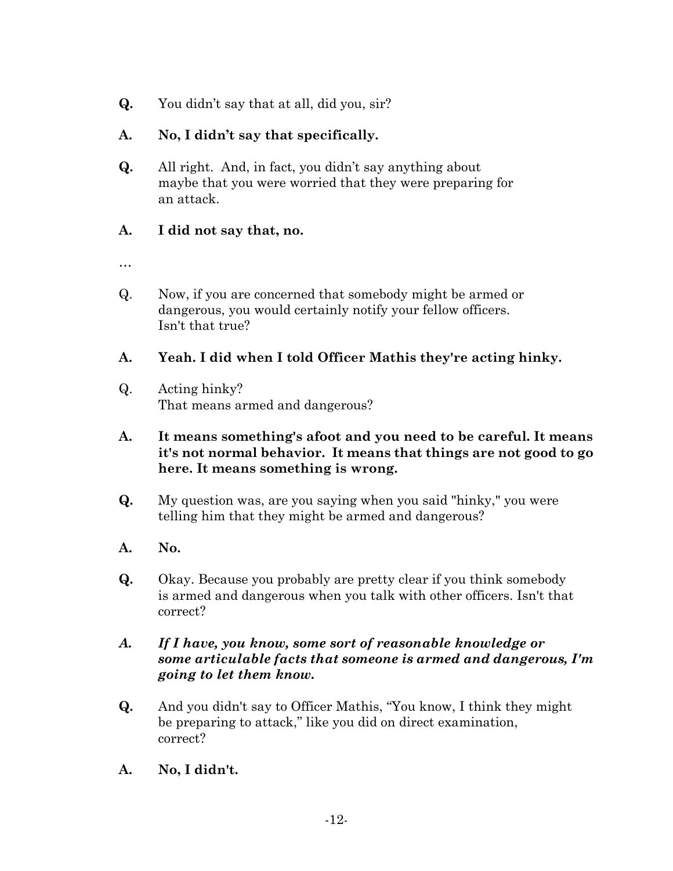**Q.** You didn't say that at all, did you, sir?

### **A. No, I didn't say that specifically.**

**Q.** All right. And, in fact, you didn't say anything about maybe that you were worried that they were preparing for an attack.

### **A. I did not say that, no.**

- …
- Q. Now, if you are concerned that somebody might be armed or dangerous, you would certainly notify your fellow officers. Isn't that true?

### **A. Yeah. I did when I told Officer Mathis they're acting hinky.**

Q. Acting hinky? That means armed and dangerous?

### **A. It means something's afoot and you need to be careful. It means it's not normal behavior. It means that things are not good to go here. It means something is wrong.**

- **Q.** My question was, are you saying when you said "hinky," you were telling him that they might be armed and dangerous?
- **A. No.**
- **Q.** Okay. Because you probably are pretty clear if you think somebody is armed and dangerous when you talk with other officers. Isn't that correct?

### *A. If I have, you know, some sort of reasonable knowledge or some articulable facts that someone is armed and dangerous, I'm going to let them know.*

- **Q.** And you didn't say to Officer Mathis, "You know, I think they might be preparing to attack," like you did on direct examination, correct?
- **A. No, I didn't.**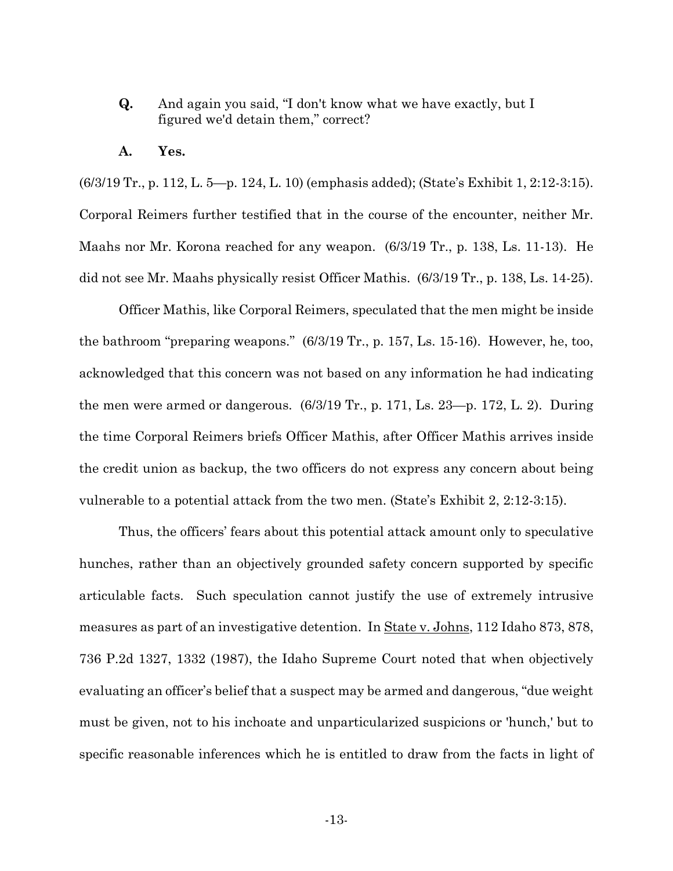- **Q.** And again you said, "I don't know what we have exactly, but I figured we'd detain them," correct?
- **A. Yes.**

(6/3/19 Tr., p. 112, L. 5—p. 124, L. 10) (emphasis added); (State's Exhibit 1, 2:12-3:15). Corporal Reimers further testified that in the course of the encounter, neither Mr. Maahs nor Mr. Korona reached for any weapon. (6/3/19 Tr., p. 138, Ls. 11-13). He did not see Mr. Maahs physically resist Officer Mathis. (6/3/19 Tr., p. 138, Ls. 14-25).

Officer Mathis, like Corporal Reimers, speculated that the men might be inside the bathroom "preparing weapons." (6/3/19 Tr., p. 157, Ls. 15-16). However, he, too, acknowledged that this concern was not based on any information he had indicating the men were armed or dangerous. (6/3/19 Tr., p. 171, Ls. 23—p. 172, L. 2). During the time Corporal Reimers briefs Officer Mathis, after Officer Mathis arrives inside the credit union as backup, the two officers do not express any concern about being vulnerable to a potential attack from the two men. (State's Exhibit 2, 2:12-3:15).

Thus, the officers' fears about this potential attack amount only to speculative hunches, rather than an objectively grounded safety concern supported by specific articulable facts. Such speculation cannot justify the use of extremely intrusive measures as part of an investigative detention. In State v. Johns, 112 Idaho 873, 878, 736 P.2d 1327, 1332 (1987), the Idaho Supreme Court noted that when objectively evaluating an officer's belief that a suspect may be armed and dangerous, "due weight must be given, not to his inchoate and unparticularized suspicions or 'hunch,' but to specific reasonable inferences which he is entitled to draw from the facts in light of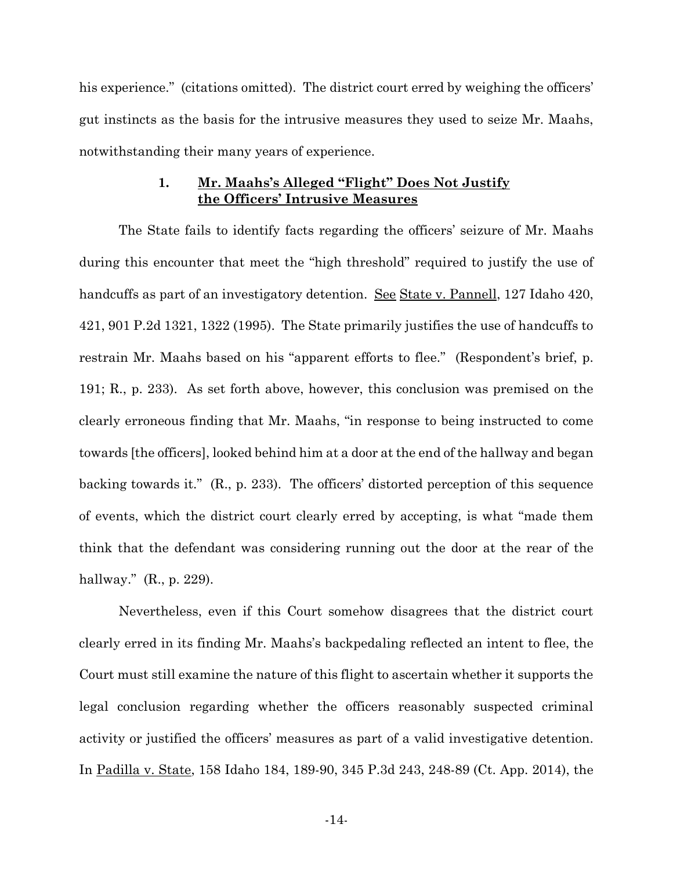his experience." (citations omitted). The district court erred by weighing the officers' gut instincts as the basis for the intrusive measures they used to seize Mr. Maahs, notwithstanding their many years of experience.

#### **1. Mr. Maahs's Alleged "Flight" Does Not Justify the Officers' Intrusive Measures**

The State fails to identify facts regarding the officers' seizure of Mr. Maahs during this encounter that meet the "high threshold" required to justify the use of handcuffs as part of an investigatory detention. <u>See State v. Pannell</u>, 127 Idaho 420, 421, 901 P.2d 1321, 1322 (1995). The State primarily justifies the use of handcuffs to restrain Mr. Maahs based on his "apparent efforts to flee." (Respondent's brief, p. 191; R., p. 233). As set forth above, however, this conclusion was premised on the clearly erroneous finding that Mr. Maahs, "in response to being instructed to come towards [the officers], looked behind him at a door at the end of the hallway and began backing towards it." (R., p. 233). The officers' distorted perception of this sequence of events, which the district court clearly erred by accepting, is what "made them think that the defendant was considering running out the door at the rear of the hallway." (R., p. 229).

Nevertheless, even if this Court somehow disagrees that the district court clearly erred in its finding Mr. Maahs's backpedaling reflected an intent to flee, the Court must still examine the nature of this flight to ascertain whether it supports the legal conclusion regarding whether the officers reasonably suspected criminal activity or justified the officers' measures as part of a valid investigative detention. In Padilla v. State, 158 Idaho 184, 189-90, 345 P.3d 243, 248-89 (Ct. App. 2014), the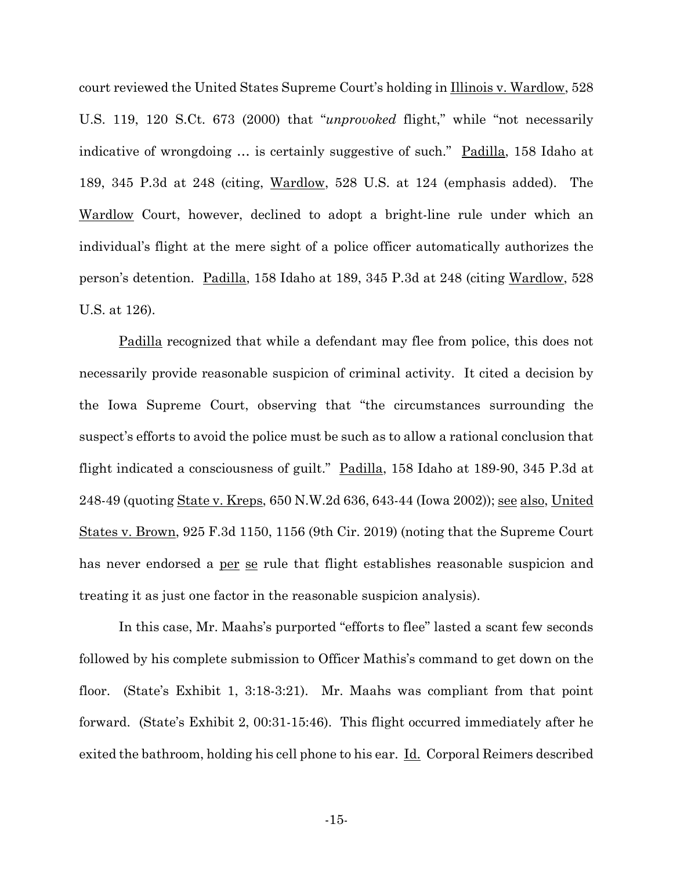court reviewed the United States Supreme Court's holding in Illinois v. Wardlow, 528 U.S. 119, 120 S.Ct. 673 (2000) that "*unprovoked* flight," while "not necessarily indicative of wrongdoing … is certainly suggestive of such." Padilla, 158 Idaho at 189, 345 P.3d at 248 (citing, Wardlow, 528 U.S. at 124 (emphasis added). The Wardlow Court, however, declined to adopt a bright-line rule under which an individual's flight at the mere sight of a police officer automatically authorizes the person's detention. Padilla, 158 Idaho at 189, 345 P.3d at 248 (citing Wardlow, 528 U.S. at 126).

Padilla recognized that while a defendant may flee from police, this does not necessarily provide reasonable suspicion of criminal activity. It cited a decision by the Iowa Supreme Court, observing that "the circumstances surrounding the suspect's efforts to avoid the police must be such as to allow a rational conclusion that flight indicated a consciousness of guilt." Padilla, 158 Idaho at 189-90, 345 P.3d at 248-49 (quoting State v. Kreps, 650 N.W.2d 636, 643-44 (Iowa 2002)); see also, United States v. Brown, 925 F.3d 1150, 1156 (9th Cir. 2019) (noting that the Supreme Court has never endorsed a per se rule that flight establishes reasonable suspicion and treating it as just one factor in the reasonable suspicion analysis).

In this case, Mr. Maahs's purported "efforts to flee" lasted a scant few seconds followed by his complete submission to Officer Mathis's command to get down on the floor. (State's Exhibit 1, 3:18-3:21). Mr. Maahs was compliant from that point forward. (State's Exhibit 2, 00:31-15:46). This flight occurred immediately after he exited the bathroom, holding his cell phone to his ear. <u>Id.</u> Corporal Reimers described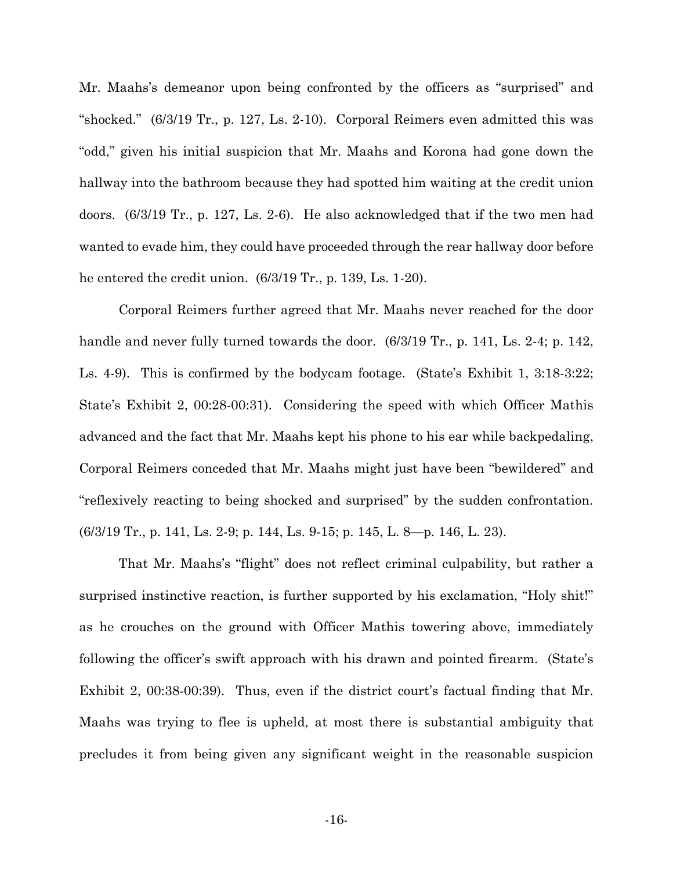Mr. Maahs's demeanor upon being confronted by the officers as "surprised" and "shocked." (6/3/19 Tr., p. 127, Ls. 2-10). Corporal Reimers even admitted this was "odd," given his initial suspicion that Mr. Maahs and Korona had gone down the hallway into the bathroom because they had spotted him waiting at the credit union doors. (6/3/19 Tr., p. 127, Ls. 2-6). He also acknowledged that if the two men had wanted to evade him, they could have proceeded through the rear hallway door before he entered the credit union. (6/3/19 Tr., p. 139, Ls. 1-20).

Corporal Reimers further agreed that Mr. Maahs never reached for the door handle and never fully turned towards the door. (6/3/19 Tr., p. 141, Ls. 2-4; p. 142, Ls. 4-9). This is confirmed by the bodycam footage. (State's Exhibit 1, 3:18-3:22; State's Exhibit 2, 00:28-00:31). Considering the speed with which Officer Mathis advanced and the fact that Mr. Maahs kept his phone to his ear while backpedaling, Corporal Reimers conceded that Mr. Maahs might just have been "bewildered" and "reflexively reacting to being shocked and surprised" by the sudden confrontation. (6/3/19 Tr., p. 141, Ls. 2-9; p. 144, Ls. 9-15; p. 145, L. 8—p. 146, L. 23).

That Mr. Maahs's "flight" does not reflect criminal culpability, but rather a surprised instinctive reaction, is further supported by his exclamation, "Holy shit!" as he crouches on the ground with Officer Mathis towering above, immediately following the officer's swift approach with his drawn and pointed firearm. (State's Exhibit 2, 00:38-00:39). Thus, even if the district court's factual finding that Mr. Maahs was trying to flee is upheld, at most there is substantial ambiguity that precludes it from being given any significant weight in the reasonable suspicion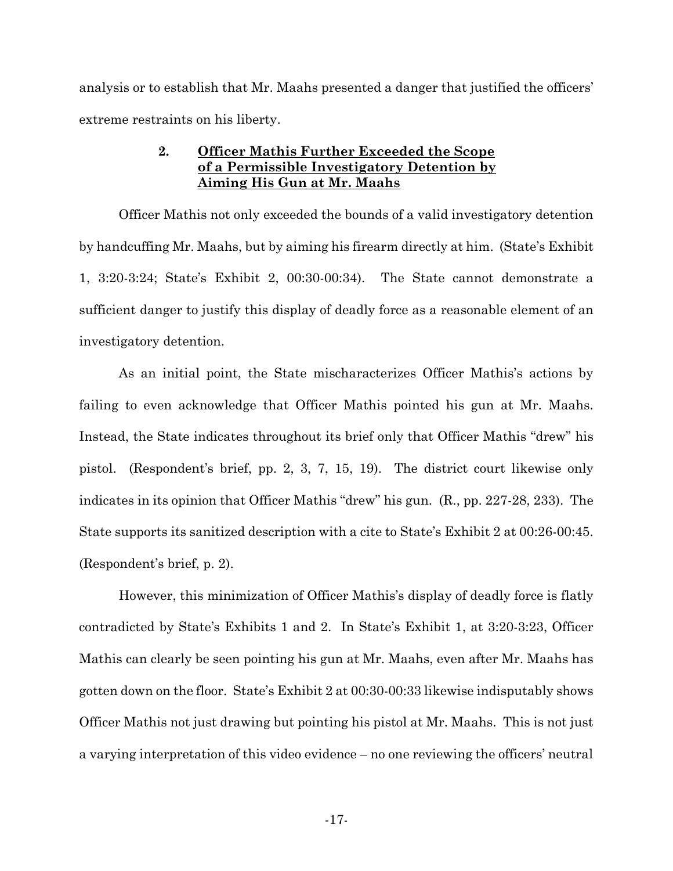analysis or to establish that Mr. Maahs presented a danger that justified the officers' extreme restraints on his liberty.

### **2. Officer Mathis Further Exceeded the Scope of a Permissible Investigatory Detention by Aiming His Gun at Mr. Maahs**

Officer Mathis not only exceeded the bounds of a valid investigatory detention by handcuffing Mr. Maahs, but by aiming his firearm directly at him. (State's Exhibit 1, 3:20-3:24; State's Exhibit 2, 00:30-00:34). The State cannot demonstrate a sufficient danger to justify this display of deadly force as a reasonable element of an investigatory detention.

As an initial point, the State mischaracterizes Officer Mathis's actions by failing to even acknowledge that Officer Mathis pointed his gun at Mr. Maahs. Instead, the State indicates throughout its brief only that Officer Mathis "drew" his pistol. (Respondent's brief, pp. 2, 3, 7, 15, 19). The district court likewise only indicates in its opinion that Officer Mathis "drew" his gun. (R., pp. 227-28, 233). The State supports its sanitized description with a cite to State's Exhibit 2 at 00:26-00:45. (Respondent's brief, p. 2).

However, this minimization of Officer Mathis's display of deadly force is flatly contradicted by State's Exhibits 1 and 2. In State's Exhibit 1, at 3:20-3:23, Officer Mathis can clearly be seen pointing his gun at Mr. Maahs, even after Mr. Maahs has gotten down on the floor. State's Exhibit 2 at 00:30-00:33 likewise indisputably shows Officer Mathis not just drawing but pointing his pistol at Mr. Maahs. This is not just a varying interpretation of this video evidence – no one reviewing the officers' neutral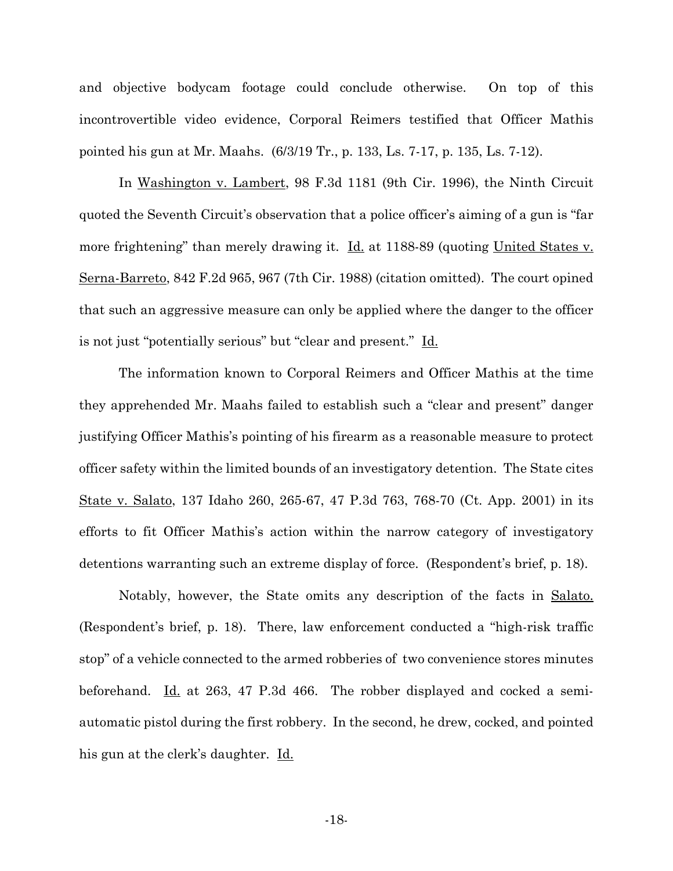and objective bodycam footage could conclude otherwise. On top of this incontrovertible video evidence, Corporal Reimers testified that Officer Mathis pointed his gun at Mr. Maahs. (6/3/19 Tr., p. 133, Ls. 7-17, p. 135, Ls. 7-12).

In Washington v. Lambert, 98 F.3d 1181 (9th Cir. 1996), the Ninth Circuit quoted the Seventh Circuit's observation that a police officer's aiming of a gun is "far more frightening" than merely drawing it. **Id.** at 1188-89 (quoting United States v. Serna-Barreto, 842 F.2d 965, 967 (7th Cir. 1988) (citation omitted). The court opined that such an aggressive measure can only be applied where the danger to the officer is not just "potentially serious" but "clear and present." Id.

 The information known to Corporal Reimers and Officer Mathis at the time they apprehended Mr. Maahs failed to establish such a "clear and present" danger justifying Officer Mathis's pointing of his firearm as a reasonable measure to protect officer safety within the limited bounds of an investigatory detention. The State cites State v. Salato, 137 Idaho 260, 265-67, 47 P.3d 763, 768-70 (Ct. App. 2001) in its efforts to fit Officer Mathis's action within the narrow category of investigatory detentions warranting such an extreme display of force. (Respondent's brief, p. 18).

 Notably, however, the State omits any description of the facts in Salato. (Respondent's brief, p. 18). There, law enforcement conducted a "high-risk traffic stop" of a vehicle connected to the armed robberies of two convenience stores minutes beforehand.  $\underline{Id}$  at 263, 47 P.3d 466. The robber displayed and cocked a semiautomatic pistol during the first robbery. In the second, he drew, cocked, and pointed his gun at the clerk's daughter. Id.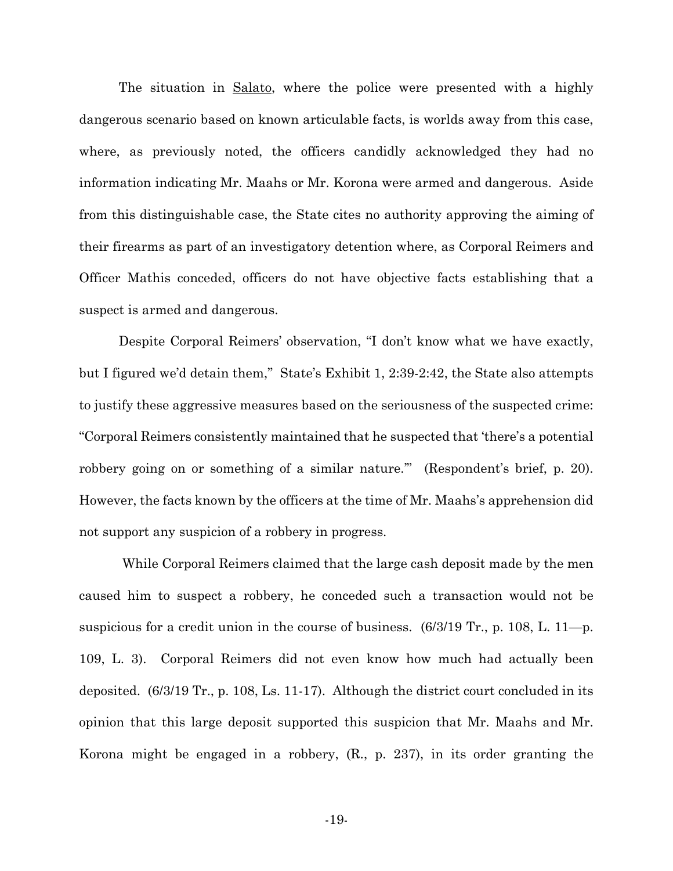The situation in Salato, where the police were presented with a highly dangerous scenario based on known articulable facts, is worlds away from this case, where, as previously noted, the officers candidly acknowledged they had no information indicating Mr. Maahs or Mr. Korona were armed and dangerous. Aside from this distinguishable case, the State cites no authority approving the aiming of their firearms as part of an investigatory detention where, as Corporal Reimers and Officer Mathis conceded, officers do not have objective facts establishing that a suspect is armed and dangerous.

 Despite Corporal Reimers' observation, "I don't know what we have exactly, but I figured we'd detain them," State's Exhibit 1, 2:39-2:42, the State also attempts to justify these aggressive measures based on the seriousness of the suspected crime: "Corporal Reimers consistently maintained that he suspected that 'there's a potential robbery going on or something of a similar nature."" (Respondent's brief, p. 20). However, the facts known by the officers at the time of Mr. Maahs's apprehension did not support any suspicion of a robbery in progress.

 While Corporal Reimers claimed that the large cash deposit made by the men caused him to suspect a robbery, he conceded such a transaction would not be suspicious for a credit union in the course of business. (6/3/19 Tr., p. 108, L. 11—p. 109, L. 3). Corporal Reimers did not even know how much had actually been deposited. (6/3/19 Tr., p. 108, Ls. 11-17). Although the district court concluded in its opinion that this large deposit supported this suspicion that Mr. Maahs and Mr. Korona might be engaged in a robbery, (R., p. 237), in its order granting the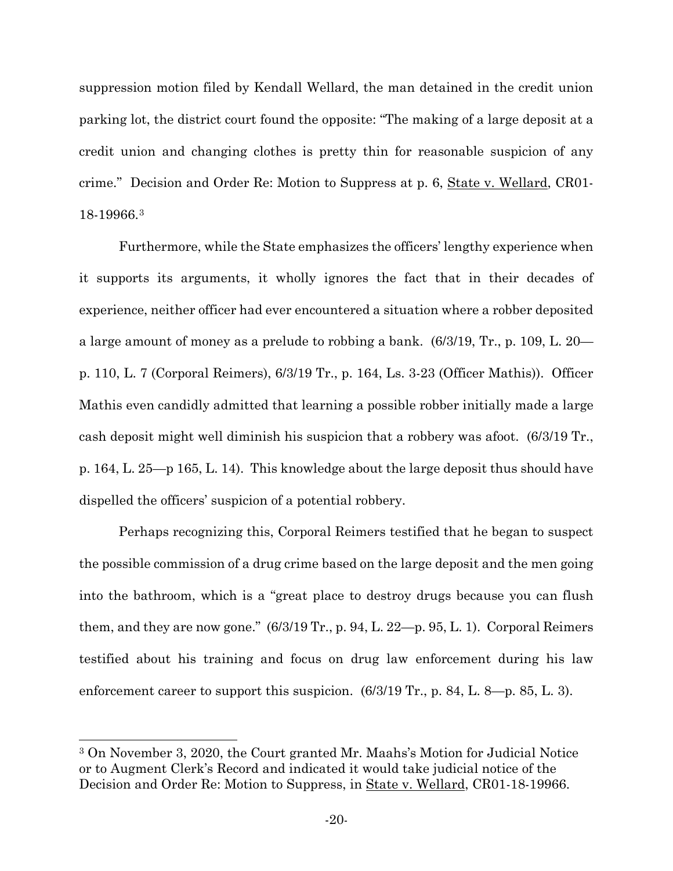suppression motion filed by Kendall Wellard, the man detained in the credit union parking lot, the district court found the opposite: "The making of a large deposit at a credit union and changing clothes is pretty thin for reasonable suspicion of any crime." Decision and Order Re: Motion to Suppress at p. 6, State v. Wellard, CR01-18-19966.[3](#page-24-0)

Furthermore, while the State emphasizes the officers' lengthy experience when it supports its arguments, it wholly ignores the fact that in their decades of experience, neither officer had ever encountered a situation where a robber deposited a large amount of money as a prelude to robbing a bank. (6/3/19, Tr., p. 109, L. 20 p. 110, L. 7 (Corporal Reimers), 6/3/19 Tr., p. 164, Ls. 3-23 (Officer Mathis)). Officer Mathis even candidly admitted that learning a possible robber initially made a large cash deposit might well diminish his suspicion that a robbery was afoot. (6/3/19 Tr., p. 164, L. 25—p 165, L. 14). This knowledge about the large deposit thus should have dispelled the officers' suspicion of a potential robbery.

Perhaps recognizing this, Corporal Reimers testified that he began to suspect the possible commission of a drug crime based on the large deposit and the men going into the bathroom, which is a "great place to destroy drugs because you can flush them, and they are now gone."  $(6/3/19 \text{ Tr.}, p. 94, L. 22-p. 95, L. 1)$ . Corporal Reimers testified about his training and focus on drug law enforcement during his law enforcement career to support this suspicion.  $(6/3/19 \text{ Tr}, p. 84, L. 8-p. 85, L. 3)$ .

<span id="page-24-0"></span><sup>3</sup> On November 3, 2020, the Court granted Mr. Maahs's Motion for Judicial Notice or to Augment Clerk's Record and indicated it would take judicial notice of the Decision and Order Re: Motion to Suppress, in State v. Wellard, CR01-18-19966.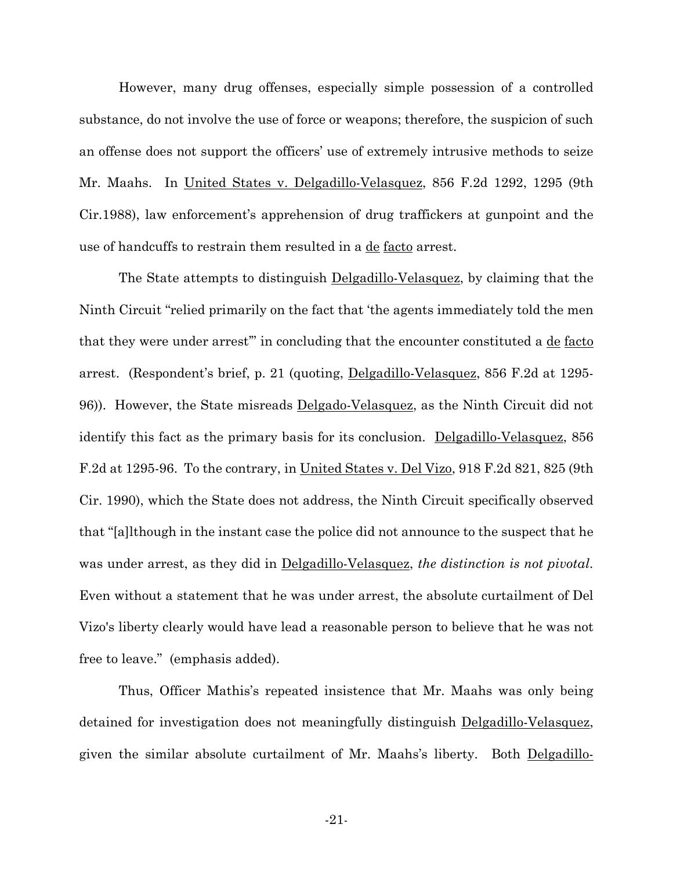However, many drug offenses, especially simple possession of a controlled substance, do not involve the use of force or weapons; therefore, the suspicion of such an offense does not support the officers' use of extremely intrusive methods to seize Mr. Maahs. In United States v. Delgadillo-Velasquez, 856 F.2d 1292, 1295 (9th Cir.1988), law enforcement's apprehension of drug traffickers at gunpoint and the use of handcuffs to restrain them resulted in a <u>de facto</u> arrest.

The State attempts to distinguish Delgadillo-Velasquez, by claiming that the Ninth Circuit "relied primarily on the fact that 'the agents immediately told the men that they were under arrest" in concluding that the encounter constituted a de facto arrest. (Respondent's brief, p. 21 (quoting, Delgadillo-Velasquez, 856 F.2d at 1295- 96)). However, the State misreads Delgado-Velasquez, as the Ninth Circuit did not identify this fact as the primary basis for its conclusion. Delgadillo-Velasquez, 856 F.2d at 1295-96. To the contrary, in United States v. Del Vizo, 918 F.2d 821, 825 (9th Cir. 1990), which the State does not address, the Ninth Circuit specifically observed that "[a]lthough in the instant case the police did not announce to the suspect that he was under arrest, as they did in Delgadillo-Velasquez, *the distinction is not pivotal*. Even without a statement that he was under arrest, the absolute curtailment of Del Vizo's liberty clearly would have lead a reasonable person to believe that he was not free to leave." (emphasis added).

Thus, Officer Mathis's repeated insistence that Mr. Maahs was only being detained for investigation does not meaningfully distinguish Delgadillo-Velasquez, given the similar absolute curtailment of Mr. Maahs's liberty. Both Delgadillo-

-21-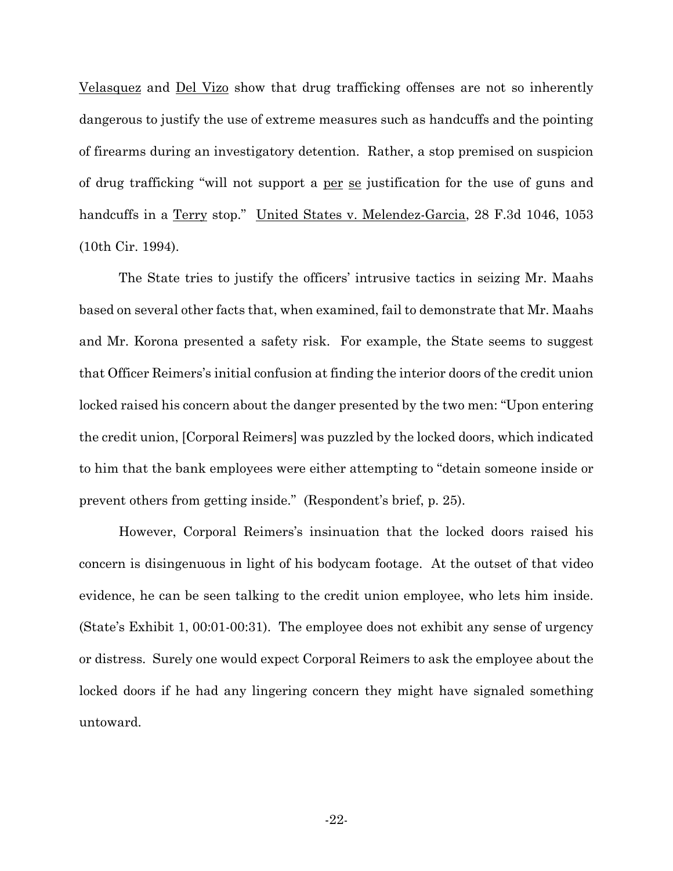Velasquez and Del Vizo show that drug trafficking offenses are not so inherently dangerous to justify the use of extreme measures such as handcuffs and the pointing of firearms during an investigatory detention. Rather, a stop premised on suspicion of drug trafficking "will not support a per se justification for the use of guns and handcuffs in a Terry stop." United States v. Melendez-Garcia, 28 F.3d 1046, 1053 (10th Cir. 1994).

The State tries to justify the officers' intrusive tactics in seizing Mr. Maahs based on several other facts that, when examined, fail to demonstrate that Mr. Maahs and Mr. Korona presented a safety risk. For example, the State seems to suggest that Officer Reimers's initial confusion at finding the interior doors of the credit union locked raised his concern about the danger presented by the two men: "Upon entering the credit union, [Corporal Reimers] was puzzled by the locked doors, which indicated to him that the bank employees were either attempting to "detain someone inside or prevent others from getting inside." (Respondent's brief, p. 25).

However, Corporal Reimers's insinuation that the locked doors raised his concern is disingenuous in light of his bodycam footage. At the outset of that video evidence, he can be seen talking to the credit union employee, who lets him inside. (State's Exhibit 1, 00:01-00:31). The employee does not exhibit any sense of urgency or distress. Surely one would expect Corporal Reimers to ask the employee about the locked doors if he had any lingering concern they might have signaled something untoward.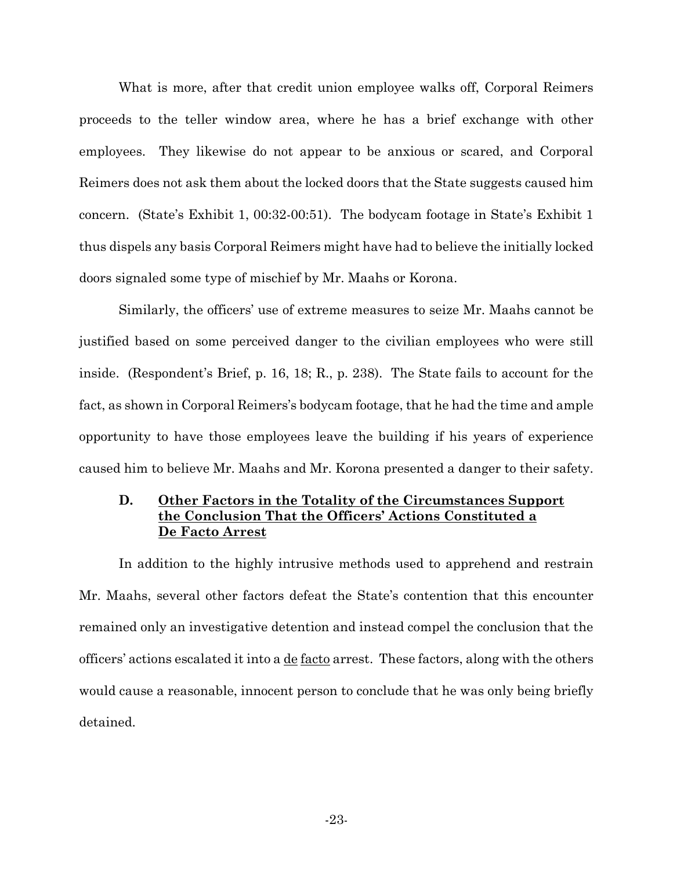What is more, after that credit union employee walks off, Corporal Reimers proceeds to the teller window area, where he has a brief exchange with other employees. They likewise do not appear to be anxious or scared, and Corporal Reimers does not ask them about the locked doors that the State suggests caused him concern. (State's Exhibit 1, 00:32-00:51). The bodycam footage in State's Exhibit 1 thus dispels any basis Corporal Reimers might have had to believe the initially locked doors signaled some type of mischief by Mr. Maahs or Korona.

Similarly, the officers' use of extreme measures to seize Mr. Maahs cannot be justified based on some perceived danger to the civilian employees who were still inside. (Respondent's Brief, p. 16, 18; R., p. 238). The State fails to account for the fact, as shown in Corporal Reimers's bodycam footage, that he had the time and ample opportunity to have those employees leave the building if his years of experience caused him to believe Mr. Maahs and Mr. Korona presented a danger to their safety.

#### **D. Other Factors in the Totality of the Circumstances Support the Conclusion That the Officers' Actions Constituted a De Facto Arrest**

In addition to the highly intrusive methods used to apprehend and restrain Mr. Maahs, several other factors defeat the State's contention that this encounter remained only an investigative detention and instead compel the conclusion that the officers' actions escalated it into a de facto arrest. These factors, along with the others would cause a reasonable, innocent person to conclude that he was only being briefly detained.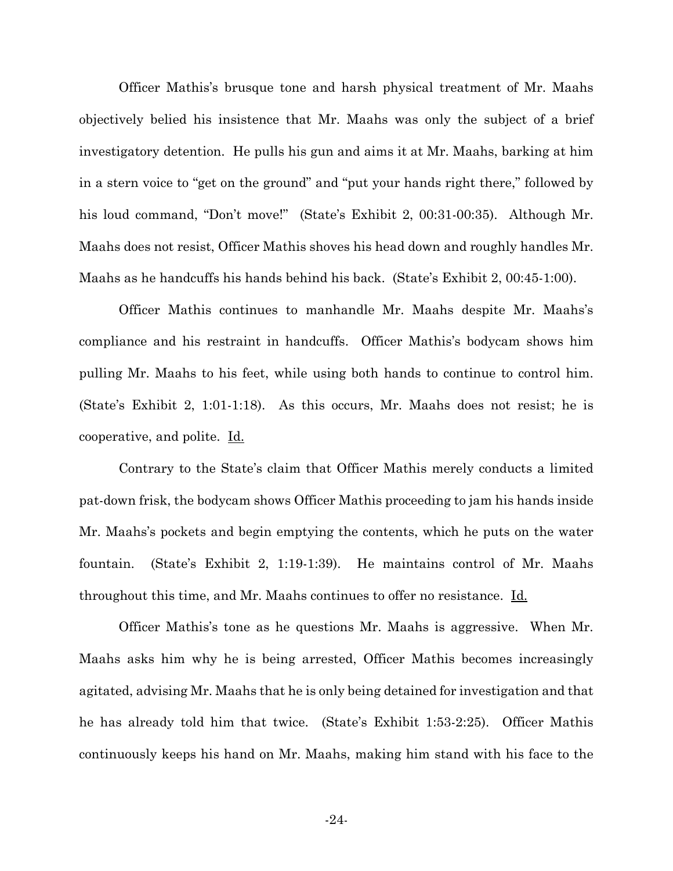Officer Mathis's brusque tone and harsh physical treatment of Mr. Maahs objectively belied his insistence that Mr. Maahs was only the subject of a brief investigatory detention. He pulls his gun and aims it at Mr. Maahs, barking at him in a stern voice to "get on the ground" and "put your hands right there," followed by his loud command, "Don't move!" (State's Exhibit 2, 00:31-00:35). Although Mr. Maahs does not resist, Officer Mathis shoves his head down and roughly handles Mr. Maahs as he handcuffs his hands behind his back. (State's Exhibit 2, 00:45-1:00).

Officer Mathis continues to manhandle Mr. Maahs despite Mr. Maahs's compliance and his restraint in handcuffs. Officer Mathis's bodycam shows him pulling Mr. Maahs to his feet, while using both hands to continue to control him. (State's Exhibit 2, 1:01-1:18). As this occurs, Mr. Maahs does not resist; he is cooperative, and polite. Id.

Contrary to the State's claim that Officer Mathis merely conducts a limited pat-down frisk, the bodycam shows Officer Mathis proceeding to jam his hands inside Mr. Maahs's pockets and begin emptying the contents, which he puts on the water fountain. (State's Exhibit 2, 1:19-1:39). He maintains control of Mr. Maahs throughout this time, and Mr. Maahs continues to offer no resistance. Id.

 Officer Mathis's tone as he questions Mr. Maahs is aggressive. When Mr. Maahs asks him why he is being arrested, Officer Mathis becomes increasingly agitated, advising Mr. Maahs that he is only being detained for investigation and that he has already told him that twice. (State's Exhibit 1:53-2:25). Officer Mathis continuously keeps his hand on Mr. Maahs, making him stand with his face to the

-24-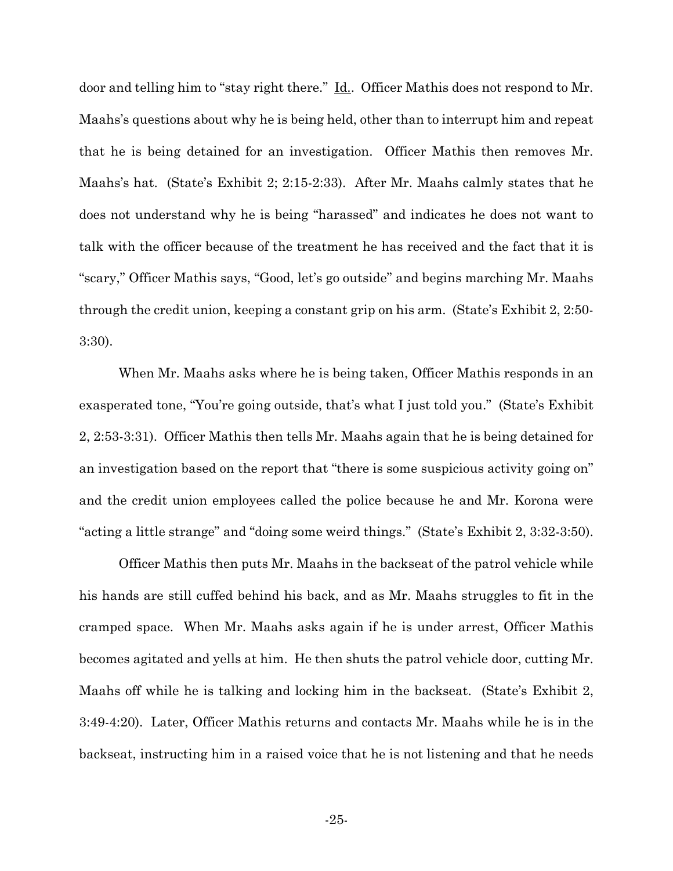door and telling him to "stay right there." Id.. Officer Mathis does not respond to Mr. Maahs's questions about why he is being held, other than to interrupt him and repeat that he is being detained for an investigation. Officer Mathis then removes Mr. Maahs's hat. (State's Exhibit 2; 2:15-2:33). After Mr. Maahs calmly states that he does not understand why he is being "harassed" and indicates he does not want to talk with the officer because of the treatment he has received and the fact that it is "scary," Officer Mathis says, "Good, let's go outside" and begins marching Mr. Maahs through the credit union, keeping a constant grip on his arm. (State's Exhibit 2, 2:50- 3:30).

When Mr. Maahs asks where he is being taken, Officer Mathis responds in an exasperated tone, "You're going outside, that's what I just told you." (State's Exhibit 2, 2:53-3:31). Officer Mathis then tells Mr. Maahs again that he is being detained for an investigation based on the report that "there is some suspicious activity going on" and the credit union employees called the police because he and Mr. Korona were "acting a little strange" and "doing some weird things." (State's Exhibit 2, 3:32-3:50).

Officer Mathis then puts Mr. Maahs in the backseat of the patrol vehicle while his hands are still cuffed behind his back, and as Mr. Maahs struggles to fit in the cramped space. When Mr. Maahs asks again if he is under arrest, Officer Mathis becomes agitated and yells at him. He then shuts the patrol vehicle door, cutting Mr. Maahs off while he is talking and locking him in the backseat. (State's Exhibit 2, 3:49-4:20). Later, Officer Mathis returns and contacts Mr. Maahs while he is in the backseat, instructing him in a raised voice that he is not listening and that he needs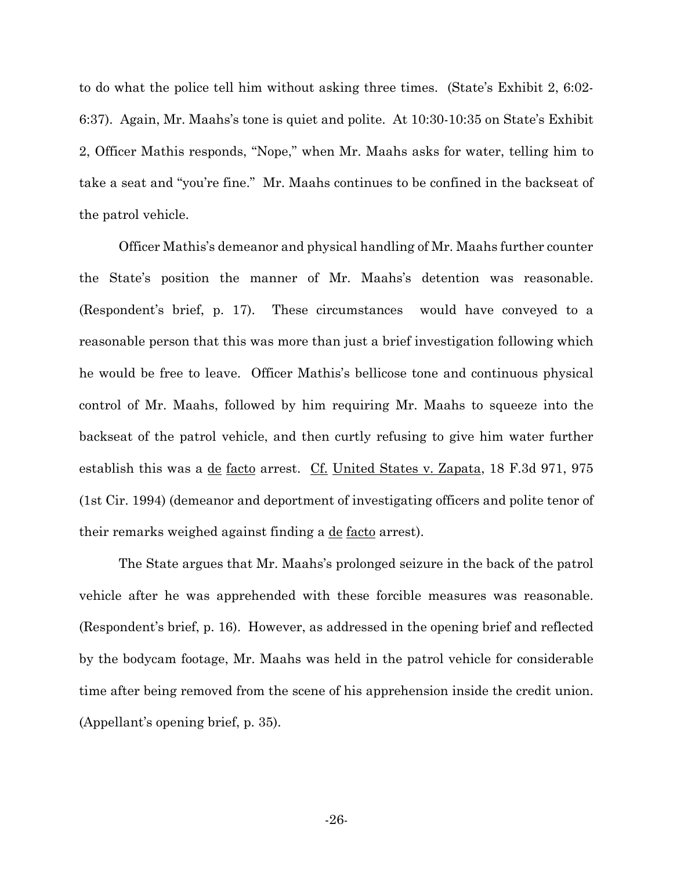to do what the police tell him without asking three times. (State's Exhibit 2, 6:02- 6:37). Again, Mr. Maahs's tone is quiet and polite. At 10:30-10:35 on State's Exhibit 2, Officer Mathis responds, "Nope," when Mr. Maahs asks for water, telling him to take a seat and "you're fine." Mr. Maahs continues to be confined in the backseat of the patrol vehicle.

Officer Mathis's demeanor and physical handling of Mr. Maahs further counter the State's position the manner of Mr. Maahs's detention was reasonable. (Respondent's brief, p. 17). These circumstances would have conveyed to a reasonable person that this was more than just a brief investigation following which he would be free to leave. Officer Mathis's bellicose tone and continuous physical control of Mr. Maahs, followed by him requiring Mr. Maahs to squeeze into the backseat of the patrol vehicle, and then curtly refusing to give him water further establish this was a de facto arrest. Cf. United States v. Zapata, 18 F.3d 971, 975 (1st Cir. 1994) (demeanor and deportment of investigating officers and polite tenor of their remarks weighed against finding a de facto arrest).

The State argues that Mr. Maahs's prolonged seizure in the back of the patrol vehicle after he was apprehended with these forcible measures was reasonable. (Respondent's brief, p. 16). However, as addressed in the opening brief and reflected by the bodycam footage, Mr. Maahs was held in the patrol vehicle for considerable time after being removed from the scene of his apprehension inside the credit union. (Appellant's opening brief, p. 35).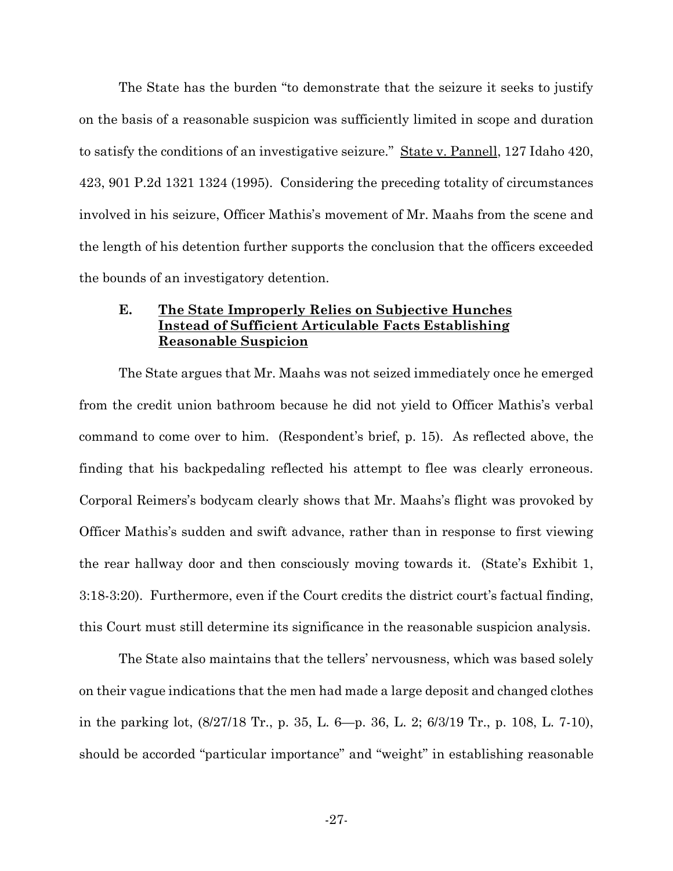The State has the burden "to demonstrate that the seizure it seeks to justify on the basis of a reasonable suspicion was sufficiently limited in scope and duration to satisfy the conditions of an investigative seizure." State v. Pannell, 127 Idaho 420, 423, 901 P.2d 1321 1324 (1995). Considering the preceding totality of circumstances involved in his seizure, Officer Mathis's movement of Mr. Maahs from the scene and the length of his detention further supports the conclusion that the officers exceeded the bounds of an investigatory detention.

#### **E. The State Improperly Relies on Subjective Hunches Instead of Sufficient Articulable Facts Establishing Reasonable Suspicion**

The State argues that Mr. Maahs was not seized immediately once he emerged from the credit union bathroom because he did not yield to Officer Mathis's verbal command to come over to him. (Respondent's brief, p. 15). As reflected above, the finding that his backpedaling reflected his attempt to flee was clearly erroneous. Corporal Reimers's bodycam clearly shows that Mr. Maahs's flight was provoked by Officer Mathis's sudden and swift advance, rather than in response to first viewing the rear hallway door and then consciously moving towards it. (State's Exhibit 1, 3:18-3:20). Furthermore, even if the Court credits the district court's factual finding, this Court must still determine its significance in the reasonable suspicion analysis.

The State also maintains that the tellers' nervousness, which was based solely on their vague indications that the men had made a large deposit and changed clothes in the parking lot, (8/27/18 Tr., p. 35, L. 6—p. 36, L. 2; 6/3/19 Tr., p. 108, L. 7-10), should be accorded "particular importance" and "weight" in establishing reasonable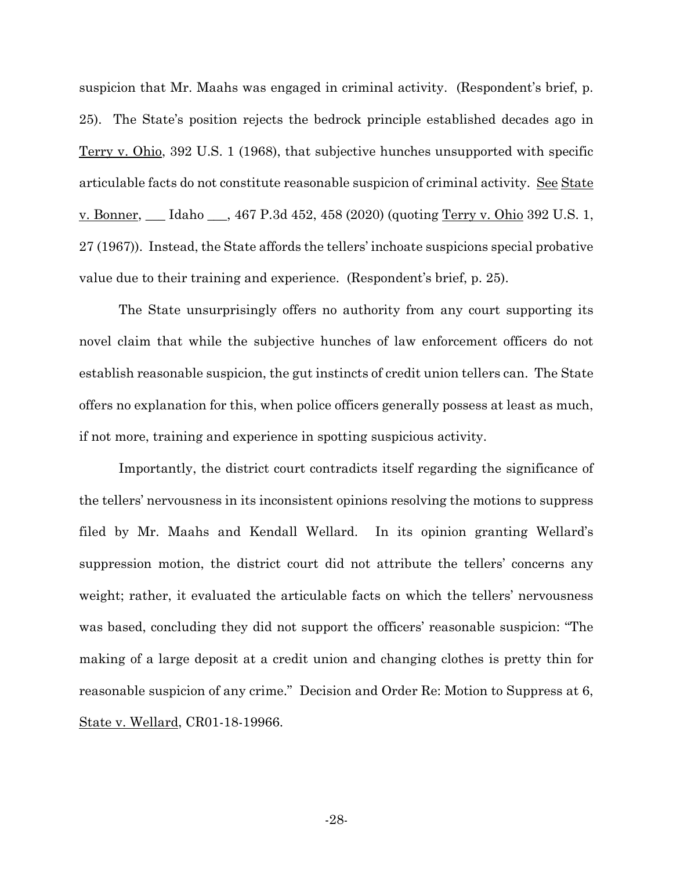suspicion that Mr. Maahs was engaged in criminal activity. (Respondent's brief, p. 25). The State's position rejects the bedrock principle established decades ago in Terry v. Ohio, 392 U.S. 1 (1968), that subjective hunches unsupported with specific articulable facts do not constitute reasonable suspicion of criminal activity. See State v. Bonner, \_\_\_ Idaho \_\_\_, 467 P.3d 452, 458 (2020) (quoting Terry v. Ohio 392 U.S. 1, 27 (1967)). Instead, the State affords the tellers' inchoate suspicions special probative value due to their training and experience. (Respondent's brief, p. 25).

The State unsurprisingly offers no authority from any court supporting its novel claim that while the subjective hunches of law enforcement officers do not establish reasonable suspicion, the gut instincts of credit union tellers can. The State offers no explanation for this, when police officers generally possess at least as much, if not more, training and experience in spotting suspicious activity.

Importantly, the district court contradicts itself regarding the significance of the tellers' nervousness in its inconsistent opinions resolving the motions to suppress filed by Mr. Maahs and Kendall Wellard. In its opinion granting Wellard's suppression motion, the district court did not attribute the tellers' concerns any weight; rather, it evaluated the articulable facts on which the tellers' nervousness was based, concluding they did not support the officers' reasonable suspicion: "The making of a large deposit at a credit union and changing clothes is pretty thin for reasonable suspicion of any crime." Decision and Order Re: Motion to Suppress at 6, State v. Wellard, CR01-18-19966.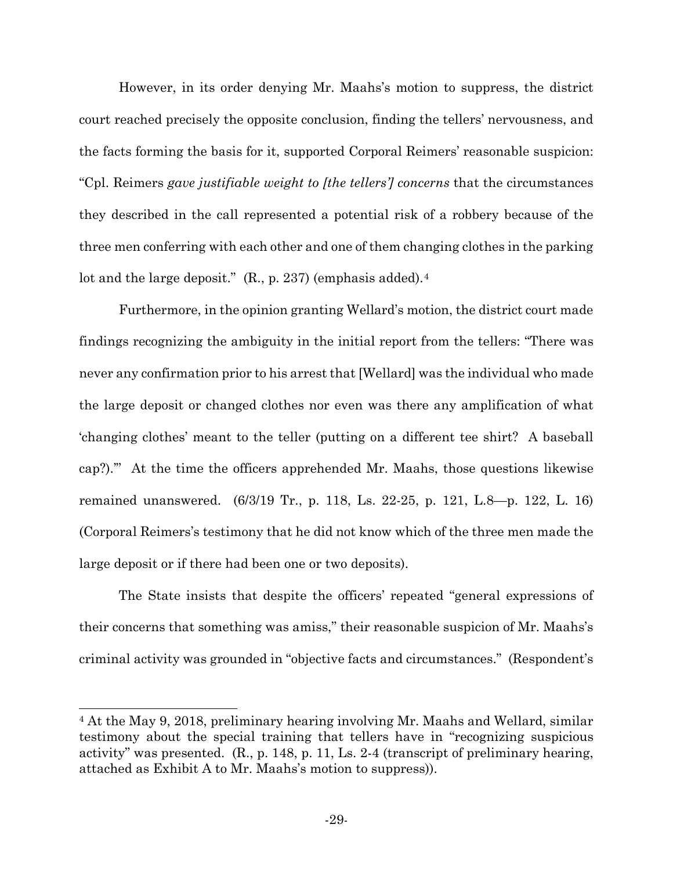However, in its order denying Mr. Maahs's motion to suppress, the district court reached precisely the opposite conclusion, finding the tellers' nervousness, and the facts forming the basis for it, supported Corporal Reimers' reasonable suspicion: "Cpl. Reimers *gave justifiable weight to [the tellers'] concerns* that the circumstances they described in the call represented a potential risk of a robbery because of the three men conferring with each other and one of them changing clothes in the parking lot and the large deposit." (R., p. 237) (emphasis added).<sup>[4](#page-33-0)</sup>

Furthermore, in the opinion granting Wellard's motion, the district court made findings recognizing the ambiguity in the initial report from the tellers: "There was never any confirmation prior to his arrest that [Wellard] was the individual who made the large deposit or changed clothes nor even was there any amplification of what 'changing clothes' meant to the teller (putting on a different tee shirt? A baseball cap?).'" At the time the officers apprehended Mr. Maahs, those questions likewise remained unanswered. (6/3/19 Tr., p. 118, Ls. 22-25, p. 121, L.8—p. 122, L. 16) (Corporal Reimers's testimony that he did not know which of the three men made the large deposit or if there had been one or two deposits).

The State insists that despite the officers' repeated "general expressions of their concerns that something was amiss," their reasonable suspicion of Mr. Maahs's criminal activity was grounded in "objective facts and circumstances." (Respondent's

<span id="page-33-0"></span><sup>4</sup> At the May 9, 2018, preliminary hearing involving Mr. Maahs and Wellard, similar testimony about the special training that tellers have in "recognizing suspicious activity" was presented. (R., p. 148, p. 11, Ls. 2-4 (transcript of preliminary hearing, attached as Exhibit A to Mr. Maahs's motion to suppress)).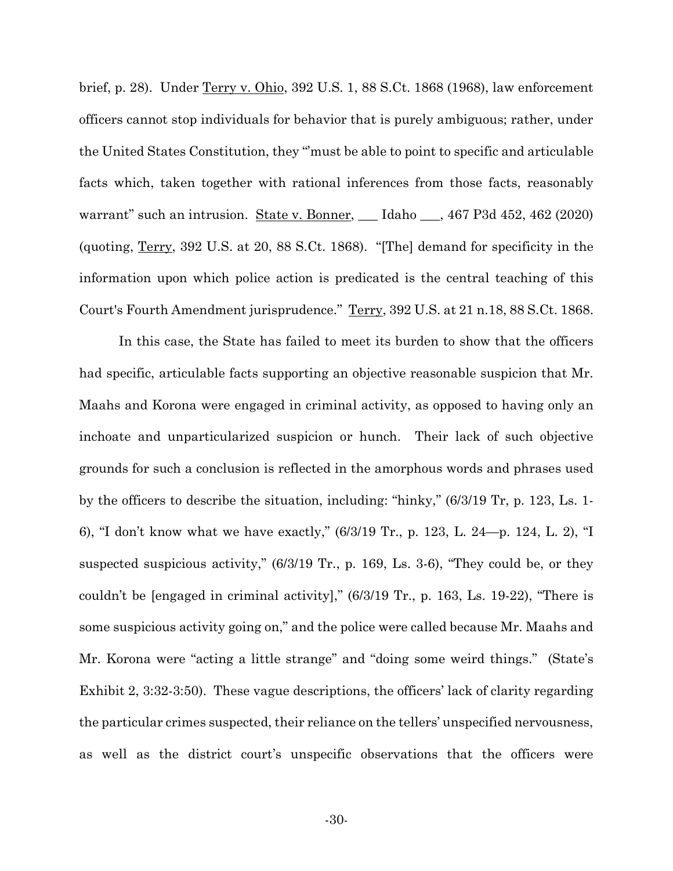brief, p. 28). Under Terry v. Ohio, 392 U.S. 1, 88 S.Ct. 1868 (1968), law enforcement officers cannot stop individuals for behavior that is purely ambiguous; rather, under the United States Constitution, they "'must be able to point to specific and articulable facts which, taken together with rational inferences from those facts, reasonably warrant" such an intrusion. State v. Bonner, \_\_\_ Idaho \_\_\_, 467 P3d 452, 462 (2020) (quoting, Terry, 392 U.S. at 20, 88 S.Ct. 1868). "[The] demand for specificity in the information upon which police action is predicated is the central teaching of this Court's Fourth Amendment jurisprudence." Terry, 392 U.S. at 21 n.18, 88 S.Ct. 1868.

In this case, the State has failed to meet its burden to show that the officers had specific, articulable facts supporting an objective reasonable suspicion that Mr. Maahs and Korona were engaged in criminal activity, as opposed to having only an inchoate and unparticularized suspicion or hunch. Their lack of such objective grounds for such a conclusion is reflected in the amorphous words and phrases used by the officers to describe the situation, including: "hinky," (6/3/19 Tr, p. 123, Ls. 1- 6), "I don't know what we have exactly," (6/3/19 Tr., p. 123, L. 24—p. 124, L. 2), "I suspected suspicious activity," (6/3/19 Tr., p. 169, Ls. 3-6), "They could be, or they couldn't be [engaged in criminal activity]," (6/3/19 Tr., p. 163, Ls. 19-22), "There is some suspicious activity going on," and the police were called because Mr. Maahs and Mr. Korona were "acting a little strange" and "doing some weird things." (State's Exhibit 2, 3:32-3:50). These vague descriptions, the officers' lack of clarity regarding the particular crimes suspected, their reliance on the tellers' unspecified nervousness, as well as the district court's unspecific observations that the officers were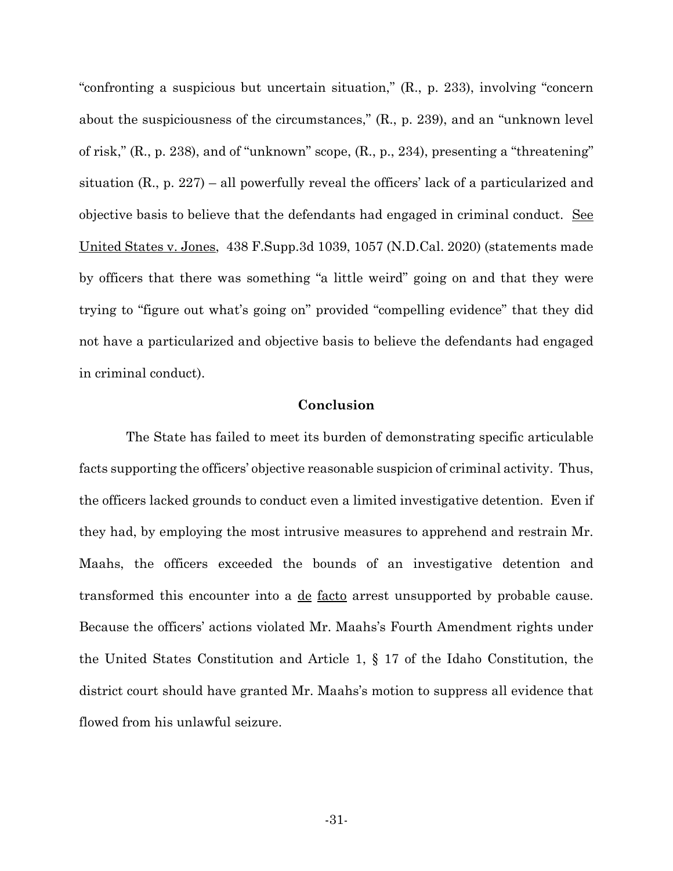"confronting a suspicious but uncertain situation," (R., p. 233), involving "concern about the suspiciousness of the circumstances," (R., p. 239), and an "unknown level of risk," (R., p. 238), and of "unknown" scope, (R., p., 234), presenting a "threatening" situation  $(R, p. 227)$  – all powerfully reveal the officers' lack of a particularized and objective basis to believe that the defendants had engaged in criminal conduct. See United States v. Jones, 438 F.Supp.3d 1039, 1057 (N.D.Cal. 2020) (statements made by officers that there was something "a little weird" going on and that they were trying to "figure out what's going on" provided "compelling evidence" that they did not have a particularized and objective basis to believe the defendants had engaged in criminal conduct).

#### **Conclusion**

 The State has failed to meet its burden of demonstrating specific articulable facts supporting the officers' objective reasonable suspicion of criminal activity. Thus, the officers lacked grounds to conduct even a limited investigative detention. Even if they had, by employing the most intrusive measures to apprehend and restrain Mr. Maahs, the officers exceeded the bounds of an investigative detention and transformed this encounter into a de facto arrest unsupported by probable cause. Because the officers' actions violated Mr. Maahs's Fourth Amendment rights under the United States Constitution and Article 1, § 17 of the Idaho Constitution, the district court should have granted Mr. Maahs's motion to suppress all evidence that flowed from his unlawful seizure.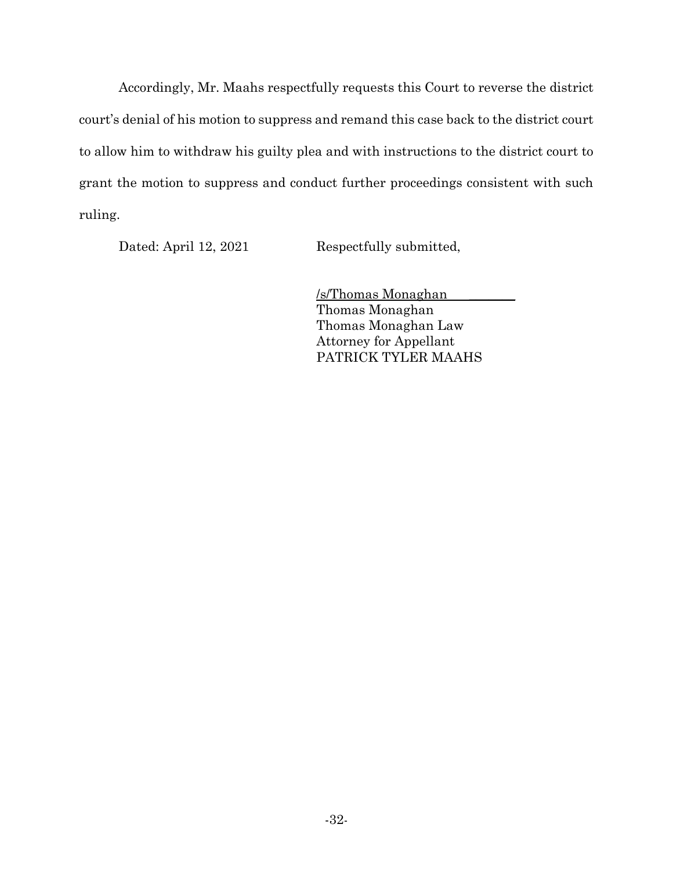Accordingly, Mr. Maahs respectfully requests this Court to reverse the district court's denial of his motion to suppress and remand this case back to the district court to allow him to withdraw his guilty plea and with instructions to the district court to grant the motion to suppress and conduct further proceedings consistent with such ruling.

Dated: April 12, 2021 Respectfully submitted,

/s/Thomas Monaghan \_\_\_\_\_\_\_ Thomas Monaghan Thomas Monaghan Law Attorney for Appellant PATRICK TYLER MAAHS